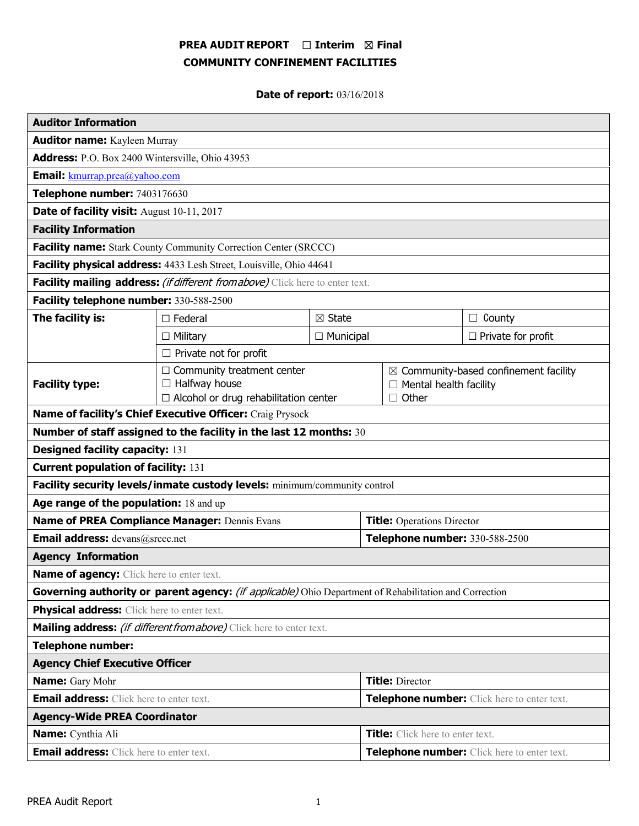# PREA AUDIT REPORT  $\Box$  Interim  $\boxtimes$  Final COMMUNITY CONFINEMENT FACILITIES

# Date of report: 03/16/2018

| <b>Auditor Information</b>                                                                             |                                                                      |                                       |                                               |                                                  |                           |
|--------------------------------------------------------------------------------------------------------|----------------------------------------------------------------------|---------------------------------------|-----------------------------------------------|--------------------------------------------------|---------------------------|
| <b>Auditor name:</b> Kayleen Murray                                                                    |                                                                      |                                       |                                               |                                                  |                           |
| Address: P.O. Box 2400 Wintersville, Ohio 43953                                                        |                                                                      |                                       |                                               |                                                  |                           |
| <b>Email:</b> kmurrap.prea@yahoo.com                                                                   |                                                                      |                                       |                                               |                                                  |                           |
| Telephone number: 7403176630                                                                           |                                                                      |                                       |                                               |                                                  |                           |
| Date of facility visit: August 10-11, 2017                                                             |                                                                      |                                       |                                               |                                                  |                           |
| <b>Facility Information</b>                                                                            |                                                                      |                                       |                                               |                                                  |                           |
| Facility name: Stark County Community Correction Center (SRCCC)                                        |                                                                      |                                       |                                               |                                                  |                           |
| Facility physical address: 4433 Lesh Street, Louisville, Ohio 44641                                    |                                                                      |                                       |                                               |                                                  |                           |
| Facility mailing address: (if different from above) Click here to enter text.                          |                                                                      |                                       |                                               |                                                  |                           |
| Facility telephone number: 330-588-2500                                                                |                                                                      |                                       |                                               |                                                  |                           |
| The facility is:                                                                                       | $\Box$ Federal                                                       | $\boxtimes$ State<br>$\Box$ Municipal |                                               |                                                  | $\Box$ County             |
|                                                                                                        | $\Box$ Military                                                      |                                       |                                               |                                                  | $\Box$ Private for profit |
| $\Box$ Private not for profit                                                                          |                                                                      |                                       |                                               |                                                  |                           |
|                                                                                                        | $\Box$ Community treatment center                                    |                                       |                                               | $\boxtimes$ Community-based confinement facility |                           |
| <b>Facility type:</b>                                                                                  | $\Box$ Halfway house<br>$\Box$ Alcohol or drug rehabilitation center |                                       | $\Box$ Mental health facility<br>$\Box$ Other |                                                  |                           |
| Name of facility's Chief Executive Officer: Craig Prysock                                              |                                                                      |                                       |                                               |                                                  |                           |
| Number of staff assigned to the facility in the last 12 months: 30                                     |                                                                      |                                       |                                               |                                                  |                           |
| <b>Designed facility capacity: 131</b>                                                                 |                                                                      |                                       |                                               |                                                  |                           |
| <b>Current population of facility: 131</b>                                                             |                                                                      |                                       |                                               |                                                  |                           |
| Facility security levels/inmate custody levels: minimum/community control                              |                                                                      |                                       |                                               |                                                  |                           |
| Age range of the population: 18 and up                                                                 |                                                                      |                                       |                                               |                                                  |                           |
| Name of PREA Compliance Manager: Dennis Evans                                                          |                                                                      |                                       | <b>Title:</b> Operations Director             |                                                  |                           |
| <b>Email address:</b> devans@srccc.net                                                                 |                                                                      |                                       | Telephone number: 330-588-2500                |                                                  |                           |
| <b>Agency Information</b>                                                                              |                                                                      |                                       |                                               |                                                  |                           |
| <b>Name of agency:</b> Click here to enter text.                                                       |                                                                      |                                       |                                               |                                                  |                           |
| Governing authority or parent agency: (if applicable) Ohio Department of Rehabilitation and Correction |                                                                      |                                       |                                               |                                                  |                           |
| Physical address: Click here to enter text.                                                            |                                                                      |                                       |                                               |                                                  |                           |
| Mailing address: <i>(if different from above)</i> Click here to enter text.                            |                                                                      |                                       |                                               |                                                  |                           |
| <b>Telephone number:</b>                                                                               |                                                                      |                                       |                                               |                                                  |                           |
| <b>Agency Chief Executive Officer</b>                                                                  |                                                                      |                                       |                                               |                                                  |                           |
| <b>Name:</b> Gary Mohr                                                                                 |                                                                      |                                       | <b>Title: Director</b>                        |                                                  |                           |
| <b>Email address:</b> Click here to enter text.                                                        |                                                                      |                                       | Telephone number: Click here to enter text.   |                                                  |                           |
| <b>Agency-Wide PREA Coordinator</b>                                                                    |                                                                      |                                       |                                               |                                                  |                           |
| Name: Cynthia Ali                                                                                      |                                                                      |                                       | Title: Click here to enter text.              |                                                  |                           |
| <b>Email address:</b> Click here to enter text.                                                        |                                                                      |                                       | Telephone number: Click here to enter text.   |                                                  |                           |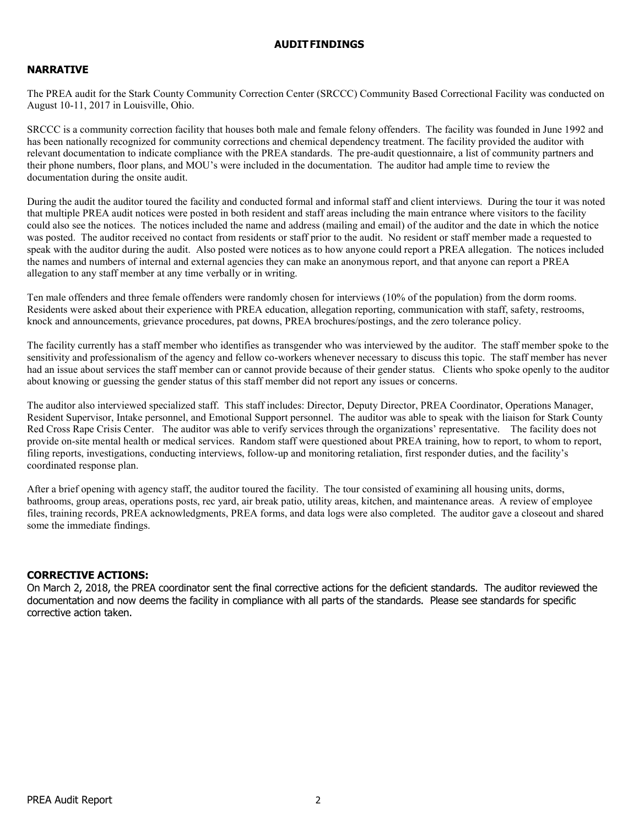### AUDITFINDINGS

### NARRATIVE

The PREA audit for the Stark County Community Correction Center (SRCCC) Community Based Correctional Facility was conducted on August 10-11, 2017 in Louisville, Ohio.

SRCCC is a community correction facility that houses both male and female felony offenders. The facility was founded in June 1992 and has been nationally recognized for community corrections and chemical dependency treatment. The facility provided the auditor with relevant documentation to indicate compliance with the PREA standards. The pre-audit questionnaire, a list of community partners and their phone numbers, floor plans, and MOU's were included in the documentation. The auditor had ample time to review the documentation during the onsite audit.

During the audit the auditor toured the facility and conducted formal and informal staff and client interviews. During the tour it was noted that multiple PREA audit notices were posted in both resident and staff areas including the main entrance where visitors to the facility could also see the notices. The notices included the name and address (mailing and email) of the auditor and the date in which the notice was posted. The auditor received no contact from residents or staff prior to the audit. No resident or staff member made a requested to speak with the auditor during the audit. Also posted were notices as to how anyone could report a PREA allegation. The notices included the names and numbers of internal and external agencies they can make an anonymous report, and that anyone can report a PREA allegation to any staff member at any time verbally or in writing.

Ten male offenders and three female offenders were randomly chosen for interviews (10% of the population) from the dorm rooms. Residents were asked about their experience with PREA education, allegation reporting, communication with staff, safety, restrooms, knock and announcements, grievance procedures, pat downs, PREA brochures/postings, and the zero tolerance policy.

The facility currently has a staff member who identifies as transgender who was interviewed by the auditor. The staff member spoke to the sensitivity and professionalism of the agency and fellow co-workers whenever necessary to discuss this topic. The staff member has never had an issue about services the staff member can or cannot provide because of their gender status. Clients who spoke openly to the auditor about knowing or guessing the gender status of this staff member did not report any issues or concerns.

The auditor also interviewed specialized staff. This staff includes: Director, Deputy Director, PREA Coordinator, Operations Manager, Resident Supervisor, Intake personnel, and Emotional Support personnel. The auditor was able to speak with the liaison for Stark County Red Cross Rape Crisis Center. The auditor was able to verify services through the organizations' representative. The facility does not provide on-site mental health or medical services. Random staff were questioned about PREA training, how to report, to whom to report, filing reports, investigations, conducting interviews, follow-up and monitoring retaliation, first responder duties, and the facility's coordinated response plan.

After a brief opening with agency staff, the auditor toured the facility. The tour consisted of examining all housing units, dorms, bathrooms, group areas, operations posts, rec yard, air break patio, utility areas, kitchen, and maintenance areas. A review of employee files, training records, PREA acknowledgments, PREA forms, and data logs were also completed. The auditor gave a closeout and shared some the immediate findings.

#### CORRECTIVE ACTIONS:

On March 2, 2018, the PREA coordinator sent the final corrective actions for the deficient standards. The auditor reviewed the documentation and now deems the facility in compliance with all parts of the standards. Please see standards for specific corrective action taken.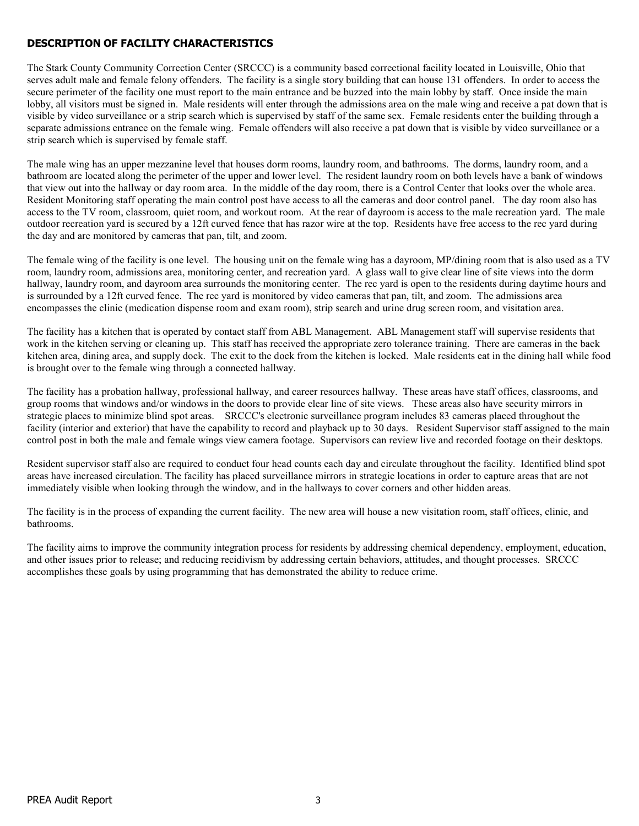# DESCRIPTION OF FACILITY CHARACTERISTICS

The Stark County Community Correction Center (SRCCC) is a community based correctional facility located in Louisville, Ohio that serves adult male and female felony offenders. The facility is a single story building that can house 131 offenders. In order to access the secure perimeter of the facility one must report to the main entrance and be buzzed into the main lobby by staff. Once inside the main lobby, all visitors must be signed in. Male residents will enter through the admissions area on the male wing and receive a pat down that is visible by video surveillance or a strip search which is supervised by staff of the same sex. Female residents enter the building through a separate admissions entrance on the female wing. Female offenders will also receive a pat down that is visible by video surveillance or a strip search which is supervised by female staff.

The male wing has an upper mezzanine level that houses dorm rooms, laundry room, and bathrooms. The dorms, laundry room, and a bathroom are located along the perimeter of the upper and lower level. The resident laundry room on both levels have a bank of windows that view out into the hallway or day room area. In the middle of the day room, there is a Control Center that looks over the whole area. Resident Monitoring staff operating the main control post have access to all the cameras and door control panel. The day room also has access to the TV room, classroom, quiet room, and workout room. At the rear of dayroom is access to the male recreation yard. The male outdoor recreation yard is secured by a 12ft curved fence that has razor wire at the top. Residents have free access to the rec yard during the day and are monitored by cameras that pan, tilt, and zoom.

The female wing of the facility is one level. The housing unit on the female wing has a dayroom, MP/dining room that is also used as a TV room, laundry room, admissions area, monitoring center, and recreation yard. A glass wall to give clear line of site views into the dorm hallway, laundry room, and dayroom area surrounds the monitoring center. The rec yard is open to the residents during daytime hours and is surrounded by a 12ft curved fence. The rec yard is monitored by video cameras that pan, tilt, and zoom. The admissions area encompasses the clinic (medication dispense room and exam room), strip search and urine drug screen room, and visitation area.

The facility has a kitchen that is operated by contact staff from ABL Management. ABL Management staff will supervise residents that work in the kitchen serving or cleaning up. This staff has received the appropriate zero tolerance training. There are cameras in the back kitchen area, dining area, and supply dock. The exit to the dock from the kitchen is locked. Male residents eat in the dining hall while food is brought over to the female wing through a connected hallway.

The facility has a probation hallway, professional hallway, and career resources hallway. These areas have staff offices, classrooms, and group rooms that windows and/or windows in the doors to provide clear line of site views. These areas also have security mirrors in strategic places to minimize blind spot areas. SRCCC's electronic surveillance program includes 83 cameras placed throughout the facility (interior and exterior) that have the capability to record and playback up to 30 days. Resident Supervisor staff assigned to the main control post in both the male and female wings view camera footage. Supervisors can review live and recorded footage on their desktops.

Resident supervisor staff also are required to conduct four head counts each day and circulate throughout the facility. Identified blind spot areas have increased circulation. The facility has placed surveillance mirrors in strategic locations in order to capture areas that are not immediately visible when looking through the window, and in the hallways to cover corners and other hidden areas.

The facility is in the process of expanding the current facility. The new area will house a new visitation room, staff offices, clinic, and bathrooms.

The facility aims to improve the community integration process for residents by addressing chemical dependency, employment, education, and other issues prior to release; and reducing recidivism by addressing certain behaviors, attitudes, and thought processes. SRCCC accomplishes these goals by using programming that has demonstrated the ability to reduce crime.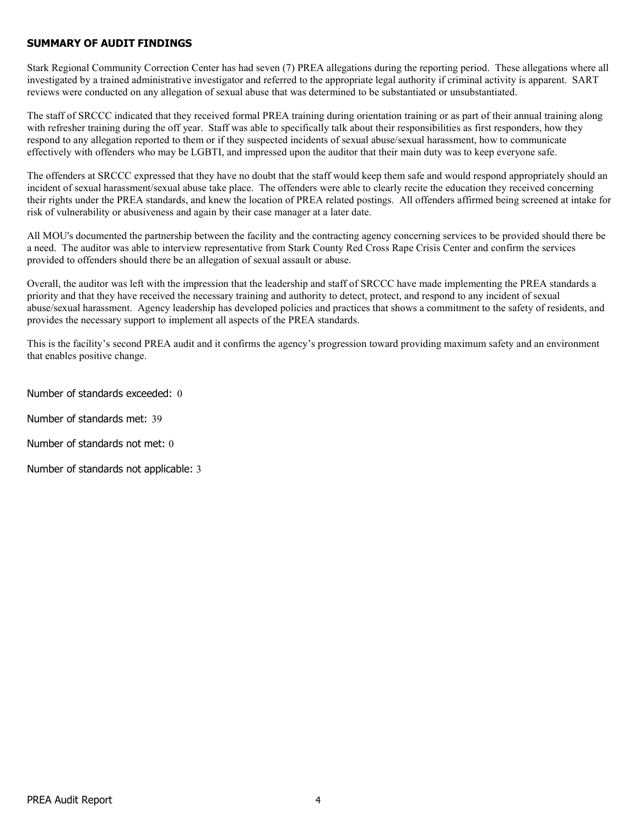### SUMMARY OF AUDIT FINDINGS

Stark Regional Community Correction Center has had seven (7) PREA allegations during the reporting period. These allegations where all investigated by a trained administrative investigator and referred to the appropriate legal authority if criminal activity is apparent. SART reviews were conducted on any allegation of sexual abuse that was determined to be substantiated or unsubstantiated.

The staff of SRCCC indicated that they received formal PREA training during orientation training or as part of their annual training along with refresher training during the off year. Staff was able to specifically talk about their responsibilities as first responders, how they respond to any allegation reported to them or if they suspected incidents of sexual abuse/sexual harassment, how to communicate effectively with offenders who may be LGBTI, and impressed upon the auditor that their main duty was to keep everyone safe.

The offenders at SRCCC expressed that they have no doubt that the staff would keep them safe and would respond appropriately should an incident of sexual harassment/sexual abuse take place. The offenders were able to clearly recite the education they received concerning their rights under the PREA standards, and knew the location of PREA related postings. All offenders affirmed being screened at intake for risk of vulnerability or abusiveness and again by their case manager at a later date.

All MOU's documented the partnership between the facility and the contracting agency concerning services to be provided should there be a need. The auditor was able to interview representative from Stark County Red Cross Rape Crisis Center and confirm the services provided to offenders should there be an allegation of sexual assault or abuse.

Overall, the auditor was left with the impression that the leadership and staff of SRCCC have made implementing the PREA standards a priority and that they have received the necessary training and authority to detect, protect, and respond to any incident of sexual abuse/sexual harassment. Agency leadership has developed policies and practices that shows a commitment to the safety of residents, and provides the necessary support to implement all aspects of the PREA standards.

This is the facility's second PREA audit and it confirms the agency's progression toward providing maximum safety and an environment that enables positive change.

Number of standards exceeded: 0

Number of standards met: 39

Number of standards not met: 0

Number of standards not applicable: 3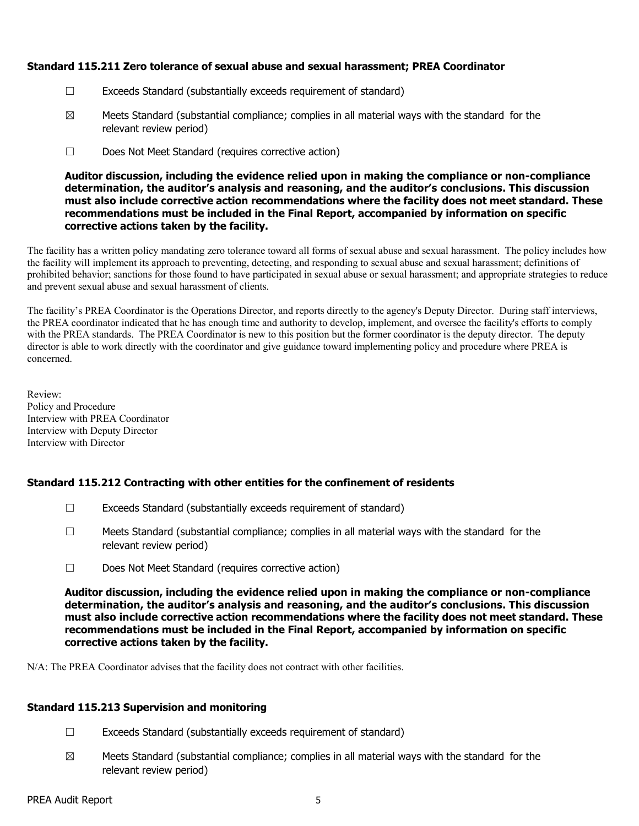### Standard 115.211 Zero tolerance of sexual abuse and sexual harassment; PREA Coordinator

- ☐ Exceeds Standard (substantially exceeds requirement of standard)
- $\boxtimes$  Meets Standard (substantial compliance; complies in all material ways with the standard for the relevant review period)
- ☐ Does Not Meet Standard (requires corrective action)

Auditor discussion, including the evidence relied upon in making the compliance or non-compliance determination, the auditor's analysis and reasoning, and the auditor's conclusions. This discussion must also include corrective action recommendations where the facility does not meet standard. These recommendations must be included in the Final Report, accompanied by information on specific corrective actions taken by the facility.

The facility has a written policy mandating zero tolerance toward all forms of sexual abuse and sexual harassment. The policy includes how the facility will implement its approach to preventing, detecting, and responding to sexual abuse and sexual harassment; definitions of prohibited behavior; sanctions for those found to have participated in sexual abuse or sexual harassment; and appropriate strategies to reduce and prevent sexual abuse and sexual harassment of clients.

The facility's PREA Coordinator is the Operations Director, and reports directly to the agency's Deputy Director. During staff interviews, the PREA coordinator indicated that he has enough time and authority to develop, implement, and oversee the facility's efforts to comply with the PREA standards. The PREA Coordinator is new to this position but the former coordinator is the deputy director. The deputy director is able to work directly with the coordinator and give guidance toward implementing policy and procedure where PREA is concerned.

Review: Policy and Procedure Interview with PREA Coordinator Interview with Deputy Director Interview with Director

# Standard 115.212 Contracting with other entities for the confinement of residents

- ☐ Exceeds Standard (substantially exceeds requirement of standard)
- $\Box$  Meets Standard (substantial compliance; complies in all material ways with the standard for the relevant review period)
- ☐ Does Not Meet Standard (requires corrective action)

Auditor discussion, including the evidence relied upon in making the compliance or non-compliance determination, the auditor's analysis and reasoning, and the auditor's conclusions. This discussion must also include corrective action recommendations where the facility does not meet standard. These recommendations must be included in the Final Report, accompanied by information on specific corrective actions taken by the facility.

N/A: The PREA Coordinator advises that the facility does not contract with other facilities.

### Standard 115.213 Supervision and monitoring

- $\Box$  Exceeds Standard (substantially exceeds requirement of standard)
- $\boxtimes$  Meets Standard (substantial compliance; complies in all material ways with the standard for the relevant review period)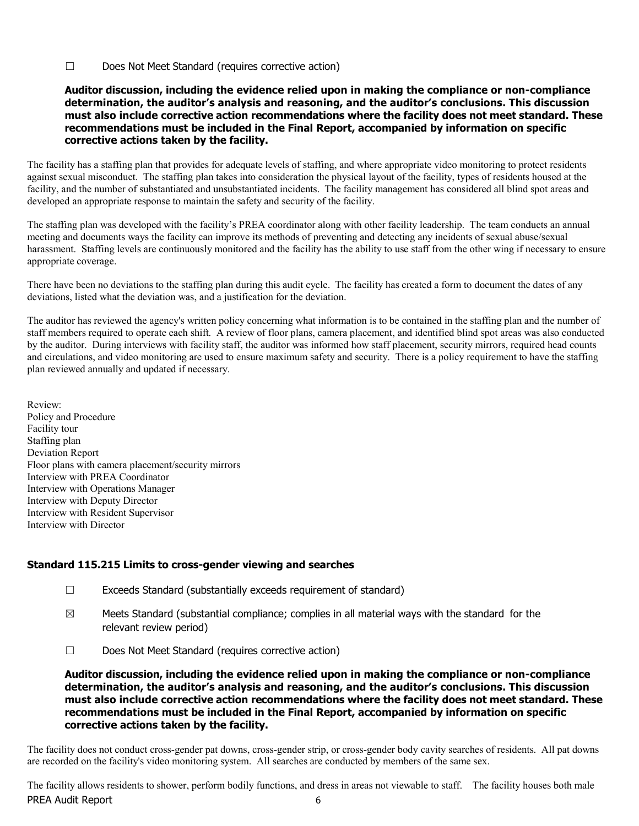☐ Does Not Meet Standard (requires corrective action)

#### Auditor discussion, including the evidence relied upon in making the compliance or non-compliance determination, the auditor's analysis and reasoning, and the auditor's conclusions. This discussion must also include corrective action recommendations where the facility does not meet standard. These recommendations must be included in the Final Report, accompanied by information on specific corrective actions taken by the facility.

The facility has a staffing plan that provides for adequate levels of staffing, and where appropriate video monitoring to protect residents against sexual misconduct. The staffing plan takes into consideration the physical layout of the facility, types of residents housed at the facility, and the number of substantiated and unsubstantiated incidents. The facility management has considered all blind spot areas and developed an appropriate response to maintain the safety and security of the facility.

The staffing plan was developed with the facility's PREA coordinator along with other facility leadership. The team conducts an annual meeting and documents ways the facility can improve its methods of preventing and detecting any incidents of sexual abuse/sexual harassment. Staffing levels are continuously monitored and the facility has the ability to use staff from the other wing if necessary to ensure appropriate coverage.

There have been no deviations to the staffing plan during this audit cycle. The facility has created a form to document the dates of any deviations, listed what the deviation was, and a justification for the deviation.

The auditor has reviewed the agency's written policy concerning what information is to be contained in the staffing plan and the number of staff members required to operate each shift. A review of floor plans, camera placement, and identified blind spot areas was also conducted by the auditor. During interviews with facility staff, the auditor was informed how staff placement, security mirrors, required head counts and circulations, and video monitoring are used to ensure maximum safety and security. There is a policy requirement to have the staffing plan reviewed annually and updated if necessary.

Review: Policy and Procedure Facility tour Staffing plan Deviation Report Floor plans with camera placement/security mirrors Interview with PREA Coordinator Interview with Operations Manager Interview with Deputy Director Interview with Resident Supervisor Interview with Director

# Standard 115.215 Limits to cross-gender viewing and searches

- ☐ Exceeds Standard (substantially exceeds requirement of standard)
- $\boxtimes$  Meets Standard (substantial compliance; complies in all material ways with the standard for the relevant review period)
- ☐ Does Not Meet Standard (requires corrective action)

Auditor discussion, including the evidence relied upon in making the compliance or non-compliance determination, the auditor's analysis and reasoning, and the auditor's conclusions. This discussion must also include corrective action recommendations where the facility does not meet standard. These recommendations must be included in the Final Report, accompanied by information on specific corrective actions taken by the facility.

The facility does not conduct cross-gender pat downs, cross-gender strip, or cross-gender body cavity searches of residents. All pat downs are recorded on the facility's video monitoring system. All searches are conducted by members of the same sex.

PREA Audit Report 6 The facility allows residents to shower, perform bodily functions, and dress in areas not viewable to staff. The facility houses both male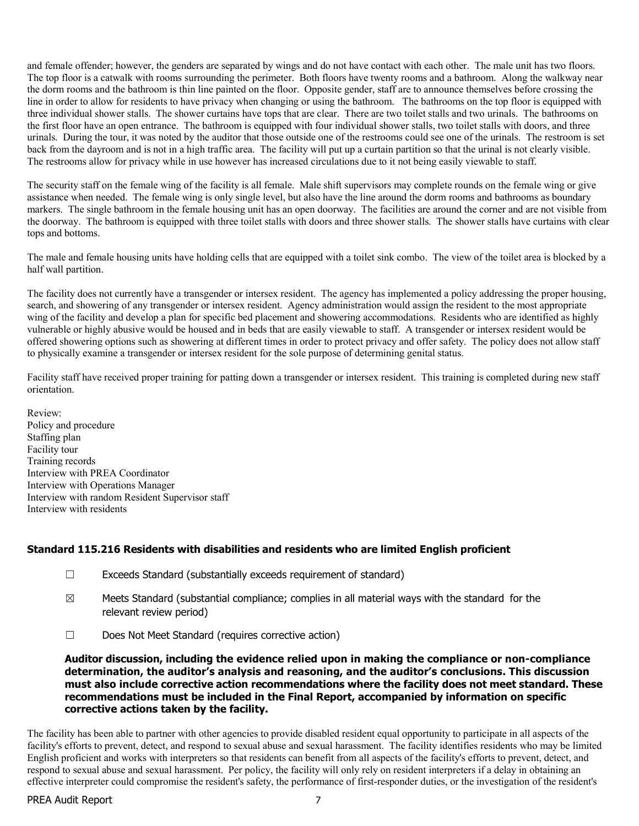and female offender; however, the genders are separated by wings and do not have contact with each other. The male unit has two floors. The top floor is a catwalk with rooms surrounding the perimeter. Both floors have twenty rooms and a bathroom. Along the walkway near the dorm rooms and the bathroom is thin line painted on the floor. Opposite gender, staff are to announce themselves before crossing the line in order to allow for residents to have privacy when changing or using the bathroom. The bathrooms on the top floor is equipped with three individual shower stalls. The shower curtains have tops that are clear. There are two toilet stalls and two urinals. The bathrooms on the first floor have an open entrance. The bathroom is equipped with four individual shower stalls, two toilet stalls with doors, and three urinals. During the tour, it was noted by the auditor that those outside one of the restrooms could see one of the urinals. The restroom is set back from the dayroom and is not in a high traffic area. The facility will put up a curtain partition so that the urinal is not clearly visible. The restrooms allow for privacy while in use however has increased circulations due to it not being easily viewable to staff.

The security staff on the female wing of the facility is all female. Male shift supervisors may complete rounds on the female wing or give assistance when needed. The female wing is only single level, but also have the line around the dorm rooms and bathrooms as boundary markers. The single bathroom in the female housing unit has an open doorway. The facilities are around the corner and are not visible from the doorway. The bathroom is equipped with three toilet stalls with doors and three shower stalls. The shower stalls have curtains with clear tops and bottoms.

The male and female housing units have holding cells that are equipped with a toilet sink combo. The view of the toilet area is blocked by a half wall partition.

The facility does not currently have a transgender or intersex resident. The agency has implemented a policy addressing the proper housing, search, and showering of any transgender or intersex resident. Agency administration would assign the resident to the most appropriate wing of the facility and develop a plan for specific bed placement and showering accommodations. Residents who are identified as highly vulnerable or highly abusive would be housed and in beds that are easily viewable to staff. A transgender or intersex resident would be offered showering options such as showering at different times in order to protect privacy and offer safety. The policy does not allow staff to physically examine a transgender or intersex resident for the sole purpose of determining genital status.

Facility staff have received proper training for patting down a transgender or intersex resident. This training is completed during new staff orientation.

Review: Policy and procedure Staffing plan Facility tour Training records Interview with PREA Coordinator Interview with Operations Manager Interview with random Resident Supervisor staff Interview with residents

#### Standard 115.216 Residents with disabilities and residents who are limited English proficient

- $\Box$  Exceeds Standard (substantially exceeds requirement of standard)
- $\boxtimes$  Meets Standard (substantial compliance; complies in all material ways with the standard for the relevant review period)
- ☐ Does Not Meet Standard (requires corrective action)

Auditor discussion, including the evidence relied upon in making the compliance or non-compliance determination, the auditor's analysis and reasoning, and the auditor's conclusions. This discussion must also include corrective action recommendations where the facility does not meet standard. These recommendations must be included in the Final Report, accompanied by information on specific corrective actions taken by the facility.

The facility has been able to partner with other agencies to provide disabled resident equal opportunity to participate in all aspects of the facility's efforts to prevent, detect, and respond to sexual abuse and sexual harassment. The facility identifies residents who may be limited English proficient and works with interpreters so that residents can benefit from all aspects of the facility's efforts to prevent, detect, and respond to sexual abuse and sexual harassment. Per policy, the facility will only rely on resident interpreters if a delay in obtaining an effective interpreter could compromise the resident's safety, the performance of first-responder duties, or the investigation of the resident's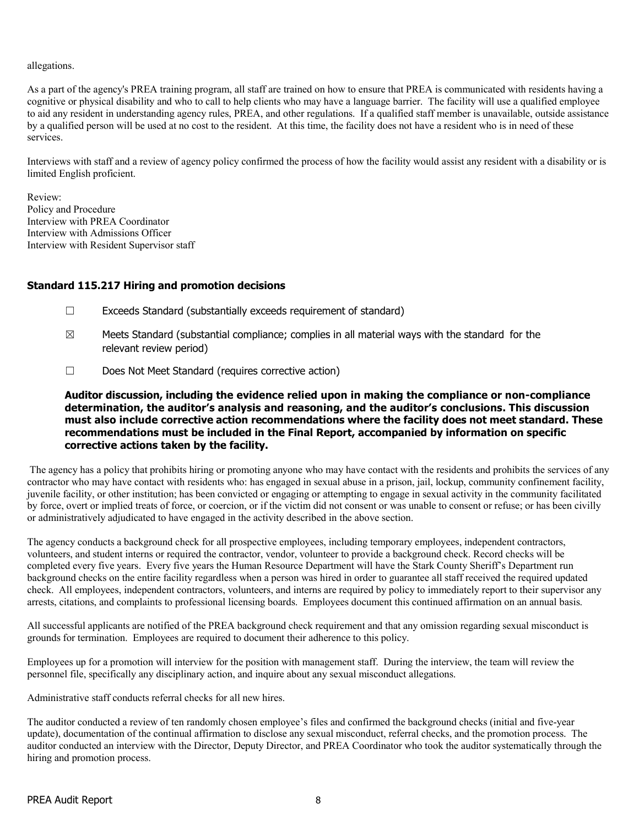allegations.

As a part of the agency's PREA training program, all staff are trained on how to ensure that PREA is communicated with residents having a cognitive or physical disability and who to call to help clients who may have a language barrier. The facility will use a qualified employee to aid any resident in understanding agency rules, PREA, and other regulations. If a qualified staff member is unavailable, outside assistance by a qualified person will be used at no cost to the resident. At this time, the facility does not have a resident who is in need of these services.

Interviews with staff and a review of agency policy confirmed the process of how the facility would assist any resident with a disability or is limited English proficient.

Review: Policy and Procedure Interview with PREA Coordinator Interview with Admissions Officer Interview with Resident Supervisor staff

### Standard 115.217 Hiring and promotion decisions

- ☐ Exceeds Standard (substantially exceeds requirement of standard)
- $\boxtimes$  Meets Standard (substantial compliance; complies in all material ways with the standard for the relevant review period)
- ☐ Does Not Meet Standard (requires corrective action)

Auditor discussion, including the evidence relied upon in making the compliance or non-compliance determination, the auditor's analysis and reasoning, and the auditor's conclusions. This discussion must also include corrective action recommendations where the facility does not meet standard. These recommendations must be included in the Final Report, accompanied by information on specific corrective actions taken by the facility.

The agency has a policy that prohibits hiring or promoting anyone who may have contact with the residents and prohibits the services of any contractor who may have contact with residents who: has engaged in sexual abuse in a prison, jail, lockup, community confinement facility, juvenile facility, or other institution; has been convicted or engaging or attempting to engage in sexual activity in the community facilitated by force, overt or implied treats of force, or coercion, or if the victim did not consent or was unable to consent or refuse; or has been civilly or administratively adjudicated to have engaged in the activity described in the above section.

The agency conducts a background check for all prospective employees, including temporary employees, independent contractors, volunteers, and student interns or required the contractor, vendor, volunteer to provide a background check. Record checks will be completed every five years. Every five years the Human Resource Department will have the Stark County Sheriff's Department run background checks on the entire facility regardless when a person was hired in order to guarantee all staff received the required updated check. All employees, independent contractors, volunteers, and interns are required by policy to immediately report to their supervisor any arrests, citations, and complaints to professional licensing boards. Employees document this continued affirmation on an annual basis.

All successful applicants are notified of the PREA background check requirement and that any omission regarding sexual misconduct is grounds for termination. Employees are required to document their adherence to this policy.

Employees up for a promotion will interview for the position with management staff. During the interview, the team will review the personnel file, specifically any disciplinary action, and inquire about any sexual misconduct allegations.

Administrative staff conducts referral checks for all new hires.

The auditor conducted a review of ten randomly chosen employee's files and confirmed the background checks (initial and five-year update), documentation of the continual affirmation to disclose any sexual misconduct, referral checks, and the promotion process. The auditor conducted an interview with the Director, Deputy Director, and PREA Coordinator who took the auditor systematically through the hiring and promotion process.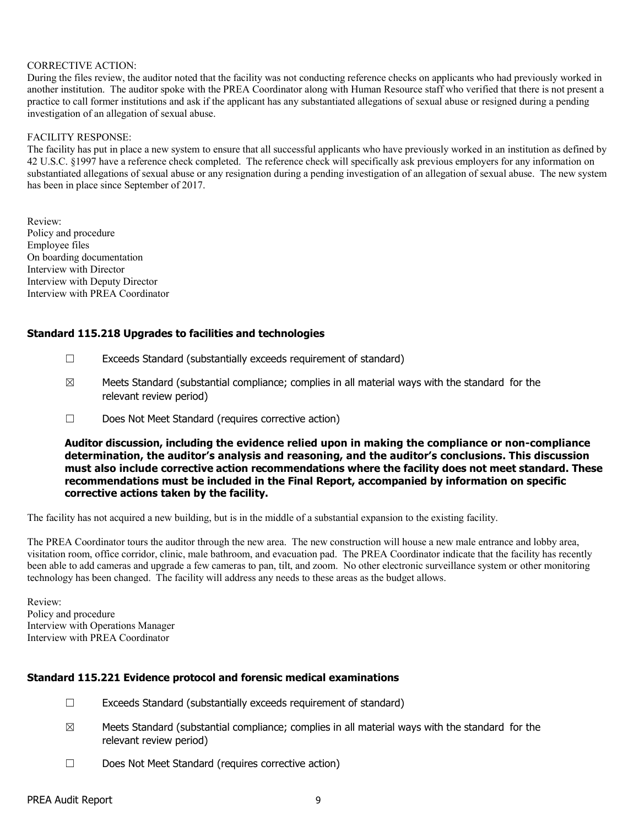#### CORRECTIVE ACTION:

During the files review, the auditor noted that the facility was not conducting reference checks on applicants who had previously worked in another institution. The auditor spoke with the PREA Coordinator along with Human Resource staff who verified that there is not present a practice to call former institutions and ask if the applicant has any substantiated allegations of sexual abuse or resigned during a pending investigation of an allegation of sexual abuse.

#### FACILITY RESPONSE:

The facility has put in place a new system to ensure that all successful applicants who have previously worked in an institution as defined by 42 U.S.C. §1997 have a reference check completed. The reference check will specifically ask previous employers for any information on substantiated allegations of sexual abuse or any resignation during a pending investigation of an allegation of sexual abuse. The new system has been in place since September of 2017.

Review: Policy and procedure Employee files On boarding documentation Interview with Director Interview with Deputy Director Interview with PREA Coordinator

### Standard 115.218 Upgrades to facilities and technologies

- ☐ Exceeds Standard (substantially exceeds requirement of standard)
- $\boxtimes$  Meets Standard (substantial compliance; complies in all material ways with the standard for the relevant review period)
- ☐ Does Not Meet Standard (requires corrective action)

Auditor discussion, including the evidence relied upon in making the compliance or non-compliance determination, the auditor's analysis and reasoning, and the auditor's conclusions. This discussion must also include corrective action recommendations where the facility does not meet standard. These recommendations must be included in the Final Report, accompanied by information on specific corrective actions taken by the facility.

The facility has not acquired a new building, but is in the middle of a substantial expansion to the existing facility.

The PREA Coordinator tours the auditor through the new area. The new construction will house a new male entrance and lobby area, visitation room, office corridor, clinic, male bathroom, and evacuation pad. The PREA Coordinator indicate that the facility has recently been able to add cameras and upgrade a few cameras to pan, tilt, and zoom. No other electronic surveillance system or other monitoring technology has been changed. The facility will address any needs to these areas as the budget allows.

Review: Policy and procedure Interview with Operations Manager Interview with PREA Coordinator

#### Standard 115.221 Evidence protocol and forensic medical examinations

- ☐ Exceeds Standard (substantially exceeds requirement of standard)
- $\boxtimes$  Meets Standard (substantial compliance; complies in all material ways with the standard for the relevant review period)
- ☐ Does Not Meet Standard (requires corrective action)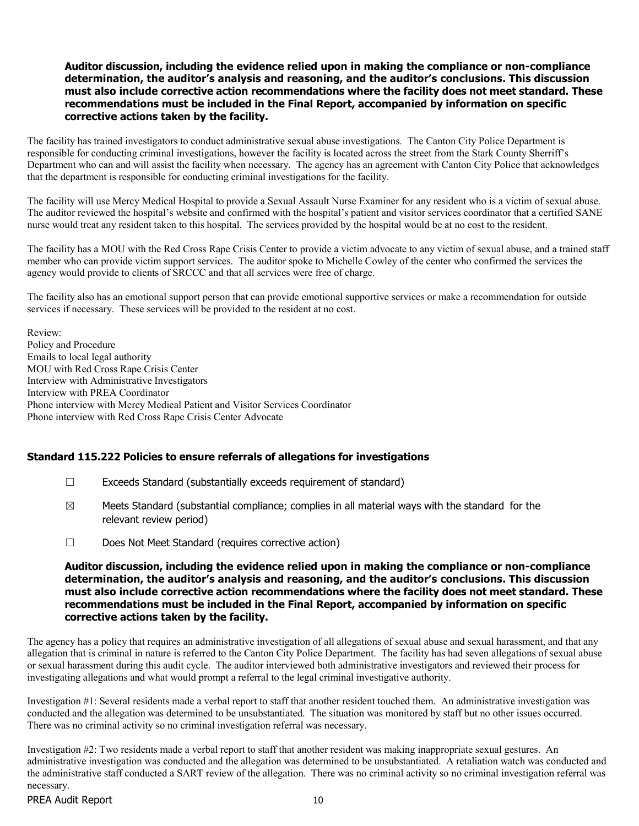#### Auditor discussion, including the evidence relied upon in making the compliance or non-compliance determination, the auditor's analysis and reasoning, and the auditor's conclusions. This discussion must also include corrective action recommendations where the facility does not meet standard. These recommendations must be included in the Final Report, accompanied by information on specific corrective actions taken by the facility.

The facility has trained investigators to conduct administrative sexual abuse investigations. The Canton City Police Department is responsible for conducting criminal investigations, however the facility is located across the street from the Stark County Sherriff's Department who can and will assist the facility when necessary. The agency has an agreement with Canton City Police that acknowledges that the department is responsible for conducting criminal investigations for the facility.

The facility will use Mercy Medical Hospital to provide a Sexual Assault Nurse Examiner for any resident who is a victim of sexual abuse. The auditor reviewed the hospital's website and confirmed with the hospital's patient and visitor services coordinator that a certified SANE nurse would treat any resident taken to this hospital. The services provided by the hospital would be at no cost to the resident.

The facility has a MOU with the Red Cross Rape Crisis Center to provide a victim advocate to any victim of sexual abuse, and a trained staff member who can provide victim support services. The auditor spoke to Michelle Cowley of the center who confirmed the services the agency would provide to clients of SRCCC and that all services were free of charge.

The facility also has an emotional support person that can provide emotional supportive services or make a recommendation for outside services if necessary. These services will be provided to the resident at no cost.

Review: Policy and Procedure Emails to local legal authority MOU with Red Cross Rape Crisis Center Interview with Administrative Investigators Interview with PREA Coordinator Phone interview with Mercy Medical Patient and Visitor Services Coordinator Phone interview with Red Cross Rape Crisis Center Advocate

### Standard 115.222 Policies to ensure referrals of allegations for investigations

- ☐ Exceeds Standard (substantially exceeds requirement of standard)
- $\boxtimes$  Meets Standard (substantial compliance; complies in all material ways with the standard for the relevant review period)
- ☐ Does Not Meet Standard (requires corrective action)

#### Auditor discussion, including the evidence relied upon in making the compliance or non-compliance determination, the auditor's analysis and reasoning, and the auditor's conclusions. This discussion must also include corrective action recommendations where the facility does not meet standard. These recommendations must be included in the Final Report, accompanied by information on specific corrective actions taken by the facility.

The agency has a policy that requires an administrative investigation of all allegations of sexual abuse and sexual harassment, and that any allegation that is criminal in nature is referred to the Canton City Police Department. The facility has had seven allegations of sexual abuse or sexual harassment during this audit cycle. The auditor interviewed both administrative investigators and reviewed their process for investigating allegations and what would prompt a referral to the legal criminal investigative authority.

Investigation #1: Several residents made a verbal report to staff that another resident touched them. An administrative investigation was conducted and the allegation was determined to be unsubstantiated. The situation was monitored by staff but no other issues occurred. There was no criminal activity so no criminal investigation referral was necessary.

Investigation #2: Two residents made a verbal report to staff that another resident was making inappropriate sexual gestures. An administrative investigation was conducted and the allegation was determined to be unsubstantiated. A retaliation watch was conducted and the administrative staff conducted a SART review of the allegation. There was no criminal activity so no criminal investigation referral was necessary.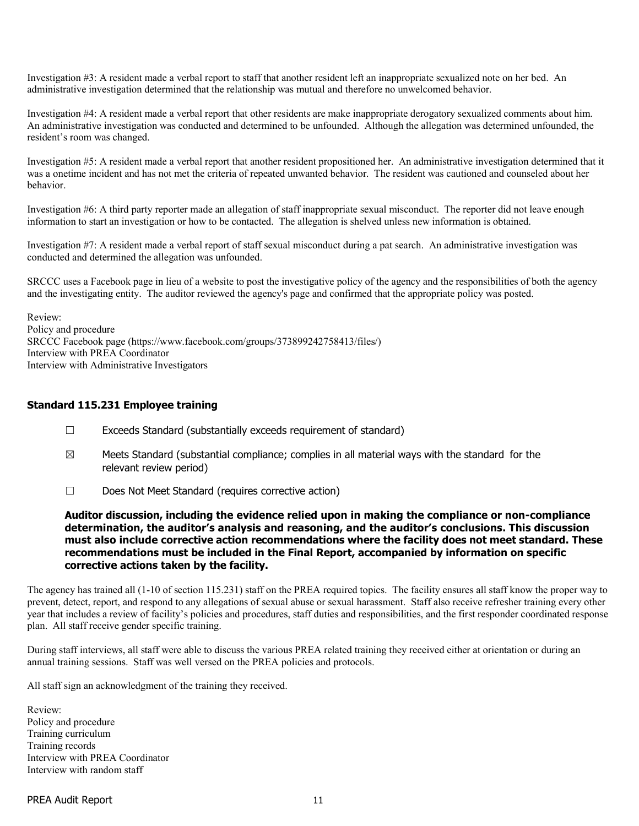Investigation #3: A resident made a verbal report to staff that another resident left an inappropriate sexualized note on her bed. An administrative investigation determined that the relationship was mutual and therefore no unwelcomed behavior.

Investigation #4: A resident made a verbal report that other residents are make inappropriate derogatory sexualized comments about him. An administrative investigation was conducted and determined to be unfounded. Although the allegation was determined unfounded, the resident's room was changed.

Investigation #5: A resident made a verbal report that another resident propositioned her. An administrative investigation determined that it was a onetime incident and has not met the criteria of repeated unwanted behavior. The resident was cautioned and counseled about her behavior.

Investigation #6: A third party reporter made an allegation of staff inappropriate sexual misconduct. The reporter did not leave enough information to start an investigation or how to be contacted. The allegation is shelved unless new information is obtained.

Investigation #7: A resident made a verbal report of staff sexual misconduct during a pat search. An administrative investigation was conducted and determined the allegation was unfounded.

SRCCC uses a Facebook page in lieu of a website to post the investigative policy of the agency and the responsibilities of both the agency and the investigating entity. The auditor reviewed the agency's page and confirmed that the appropriate policy was posted.

Review: Policy and procedure SRCCC Facebook page (https://www.facebook.com/groups/373899242758413/files/) Interview with PREA Coordinator Interview with Administrative Investigators

#### Standard 115.231 Employee training

- ☐ Exceeds Standard (substantially exceeds requirement of standard)
- $\boxtimes$  Meets Standard (substantial compliance; complies in all material ways with the standard for the relevant review period)
- ☐ Does Not Meet Standard (requires corrective action)

#### Auditor discussion, including the evidence relied upon in making the compliance or non-compliance determination, the auditor's analysis and reasoning, and the auditor's conclusions. This discussion must also include corrective action recommendations where the facility does not meet standard. These recommendations must be included in the Final Report, accompanied by information on specific corrective actions taken by the facility.

The agency has trained all (1-10 of section 115.231) staff on the PREA required topics. The facility ensures all staff know the proper way to prevent, detect, report, and respond to any allegations of sexual abuse or sexual harassment. Staff also receive refresher training every other year that includes a review of facility's policies and procedures, staff duties and responsibilities, and the first responder coordinated response plan. All staff receive gender specific training.

During staff interviews, all staff were able to discuss the various PREA related training they received either at orientation or during an annual training sessions. Staff was well versed on the PREA policies and protocols.

All staff sign an acknowledgment of the training they received.

Review: Policy and procedure Training curriculum Training records Interview with PREA Coordinator Interview with random staff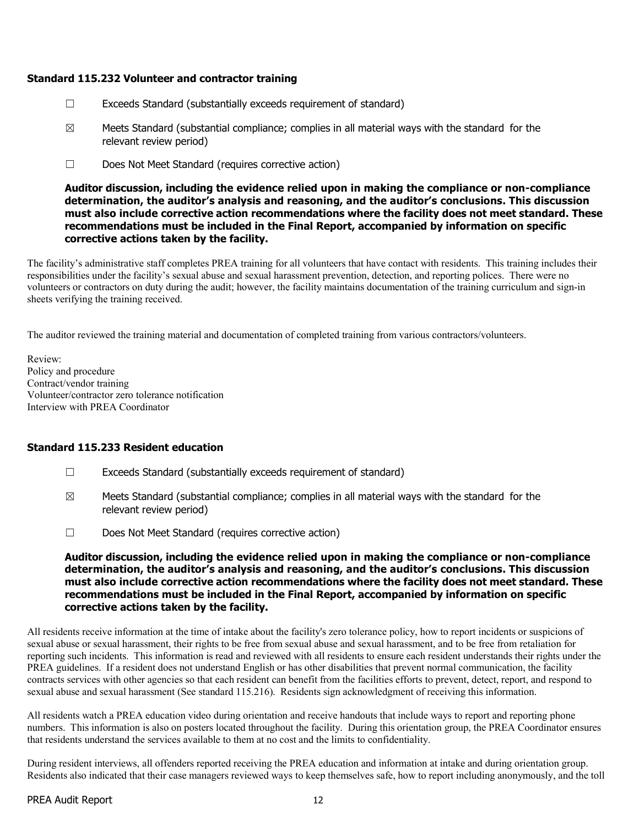### Standard 115.232 Volunteer and contractor training

- ☐ Exceeds Standard (substantially exceeds requirement of standard)
- $\boxtimes$  Meets Standard (substantial compliance; complies in all material ways with the standard for the relevant review period)
- ☐ Does Not Meet Standard (requires corrective action)

#### Auditor discussion, including the evidence relied upon in making the compliance or non-compliance determination, the auditor's analysis and reasoning, and the auditor's conclusions. This discussion must also include corrective action recommendations where the facility does not meet standard. These recommendations must be included in the Final Report, accompanied by information on specific corrective actions taken by the facility.

The facility's administrative staff completes PREA training for all volunteers that have contact with residents. This training includes their responsibilities under the facility's sexual abuse and sexual harassment prevention, detection, and reporting polices. There were no volunteers or contractors on duty during the audit; however, the facility maintains documentation of the training curriculum and sign-in sheets verifying the training received.

The auditor reviewed the training material and documentation of completed training from various contractors/volunteers.

Review: Policy and procedure Contract/vendor training Volunteer/contractor zero tolerance notification Interview with PREA Coordinator

### Standard 115.233 Resident education

- ☐ Exceeds Standard (substantially exceeds requirement of standard)
- $\boxtimes$  Meets Standard (substantial compliance; complies in all material ways with the standard for the relevant review period)
- ☐ Does Not Meet Standard (requires corrective action)

#### Auditor discussion, including the evidence relied upon in making the compliance or non-compliance determination, the auditor's analysis and reasoning, and the auditor's conclusions. This discussion must also include corrective action recommendations where the facility does not meet standard. These recommendations must be included in the Final Report, accompanied by information on specific corrective actions taken by the facility.

All residents receive information at the time of intake about the facility's zero tolerance policy, how to report incidents or suspicions of sexual abuse or sexual harassment, their rights to be free from sexual abuse and sexual harassment, and to be free from retaliation for reporting such incidents. This information is read and reviewed with all residents to ensure each resident understands their rights under the PREA guidelines. If a resident does not understand English or has other disabilities that prevent normal communication, the facility contracts services with other agencies so that each resident can benefit from the facilities efforts to prevent, detect, report, and respond to sexual abuse and sexual harassment (See standard 115.216). Residents sign acknowledgment of receiving this information.

All residents watch a PREA education video during orientation and receive handouts that include ways to report and reporting phone numbers. This information is also on posters located throughout the facility. During this orientation group, the PREA Coordinator ensures that residents understand the services available to them at no cost and the limits to confidentiality.

During resident interviews, all offenders reported receiving the PREA education and information at intake and during orientation group. Residents also indicated that their case managers reviewed ways to keep themselves safe, how to report including anonymously, and the toll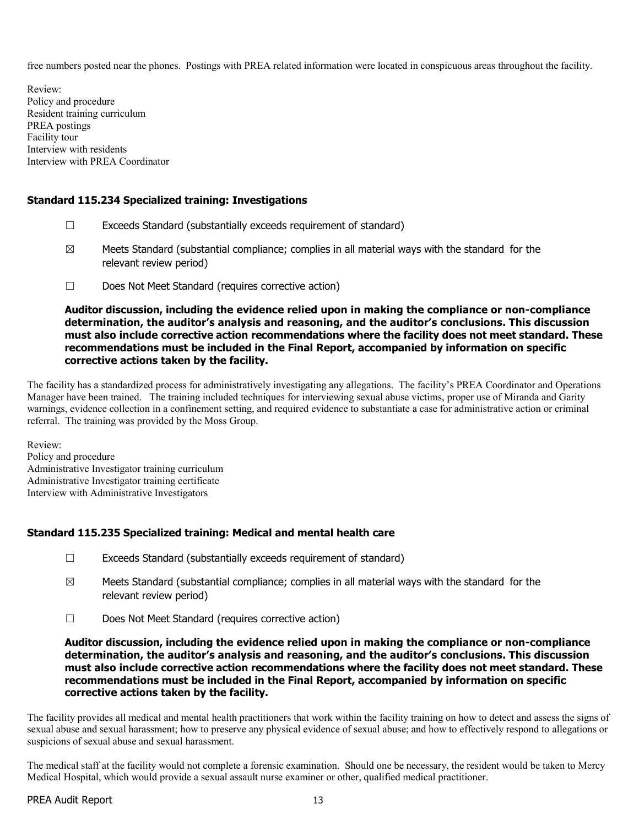free numbers posted near the phones. Postings with PREA related information were located in conspicuous areas throughout the facility.

Review: Policy and procedure Resident training curriculum PREA postings Facility tour Interview with residents Interview with PREA Coordinator

# Standard 115.234 Specialized training: Investigations

- ☐ Exceeds Standard (substantially exceeds requirement of standard)
- $\boxtimes$  Meets Standard (substantial compliance; complies in all material ways with the standard for the relevant review period)
- ☐ Does Not Meet Standard (requires corrective action)

Auditor discussion, including the evidence relied upon in making the compliance or non-compliance determination, the auditor's analysis and reasoning, and the auditor's conclusions. This discussion must also include corrective action recommendations where the facility does not meet standard. These recommendations must be included in the Final Report, accompanied by information on specific corrective actions taken by the facility.

The facility has a standardized process for administratively investigating any allegations. The facility's PREA Coordinator and Operations Manager have been trained. The training included techniques for interviewing sexual abuse victims, proper use of Miranda and Garity warnings, evidence collection in a confinement setting, and required evidence to substantiate a case for administrative action or criminal referral. The training was provided by the Moss Group.

Review: Policy and procedure Administrative Investigator training curriculum Administrative Investigator training certificate Interview with Administrative Investigators

### Standard 115.235 Specialized training: Medical and mental health care

- ☐ Exceeds Standard (substantially exceeds requirement of standard)
- $\boxtimes$  Meets Standard (substantial compliance; complies in all material ways with the standard for the relevant review period)
- ☐ Does Not Meet Standard (requires corrective action)

Auditor discussion, including the evidence relied upon in making the compliance or non-compliance determination, the auditor's analysis and reasoning, and the auditor's conclusions. This discussion must also include corrective action recommendations where the facility does not meet standard. These recommendations must be included in the Final Report, accompanied by information on specific corrective actions taken by the facility.

The facility provides all medical and mental health practitioners that work within the facility training on how to detect and assess the signs of sexual abuse and sexual harassment; how to preserve any physical evidence of sexual abuse; and how to effectively respond to allegations or suspicions of sexual abuse and sexual harassment.

The medical staff at the facility would not complete a forensic examination. Should one be necessary, the resident would be taken to Mercy Medical Hospital, which would provide a sexual assault nurse examiner or other, qualified medical practitioner.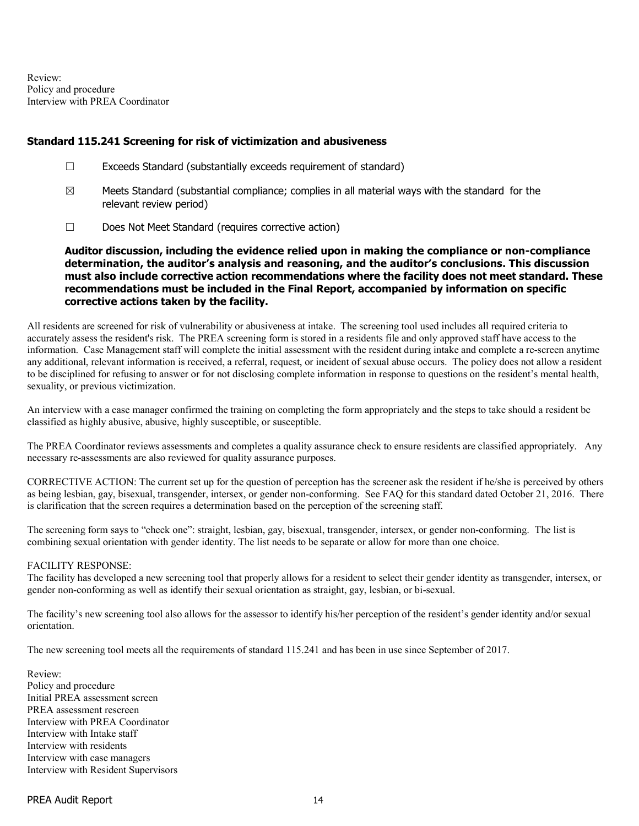Review: Policy and procedure Interview with PREA Coordinator

#### Standard 115.241 Screening for risk of victimization and abusiveness

- ☐ Exceeds Standard (substantially exceeds requirement of standard)
- $\boxtimes$  Meets Standard (substantial compliance; complies in all material ways with the standard for the relevant review period)
- ☐ Does Not Meet Standard (requires corrective action)

Auditor discussion, including the evidence relied upon in making the compliance or non-compliance determination, the auditor's analysis and reasoning, and the auditor's conclusions. This discussion must also include corrective action recommendations where the facility does not meet standard. These recommendations must be included in the Final Report, accompanied by information on specific corrective actions taken by the facility.

All residents are screened for risk of vulnerability or abusiveness at intake. The screening tool used includes all required criteria to accurately assess the resident's risk. The PREA screening form is stored in a residents file and only approved staff have access to the information. Case Management staff will complete the initial assessment with the resident during intake and complete a re-screen anytime any additional, relevant information is received, a referral, request, or incident of sexual abuse occurs. The policy does not allow a resident to be disciplined for refusing to answer or for not disclosing complete information in response to questions on the resident's mental health, sexuality, or previous victimization.

An interview with a case manager confirmed the training on completing the form appropriately and the steps to take should a resident be classified as highly abusive, abusive, highly susceptible, or susceptible.

The PREA Coordinator reviews assessments and completes a quality assurance check to ensure residents are classified appropriately. Any necessary re-assessments are also reviewed for quality assurance purposes.

CORRECTIVE ACTION: The current set up for the question of perception has the screener ask the resident if he/she is perceived by others as being lesbian, gay, bisexual, transgender, intersex, or gender non-conforming. See FAQ for this standard dated October 21, 2016. There is clarification that the screen requires a determination based on the perception of the screening staff.

The screening form says to "check one": straight, lesbian, gay, bisexual, transgender, intersex, or gender non-conforming. The list is combining sexual orientation with gender identity. The list needs to be separate or allow for more than one choice.

#### FACILITY RESPONSE:

The facility has developed a new screening tool that properly allows for a resident to select their gender identity as transgender, intersex, or gender non-conforming as well as identify their sexual orientation as straight, gay, lesbian, or bi-sexual.

The facility's new screening tool also allows for the assessor to identify his/her perception of the resident's gender identity and/or sexual orientation.

The new screening tool meets all the requirements of standard 115.241 and has been in use since September of 2017.

Review: Policy and procedure Initial PREA assessment screen PREA assessment rescreen Interview with PREA Coordinator Interview with Intake staff Interview with residents Interview with case managers Interview with Resident Supervisors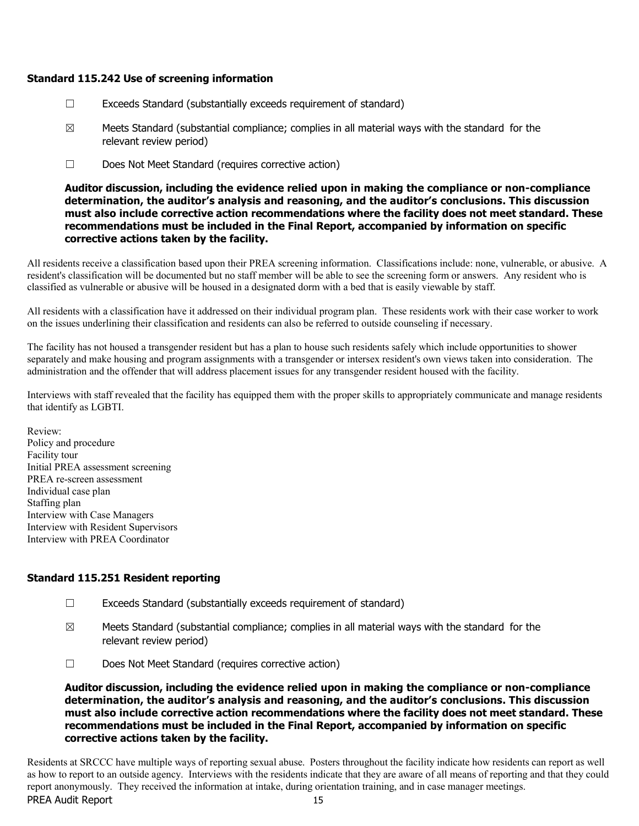#### Standard 115.242 Use of screening information

- ☐ Exceeds Standard (substantially exceeds requirement of standard)
- $\boxtimes$  Meets Standard (substantial compliance; complies in all material ways with the standard for the relevant review period)
- ☐ Does Not Meet Standard (requires corrective action)

Auditor discussion, including the evidence relied upon in making the compliance or non-compliance determination, the auditor's analysis and reasoning, and the auditor's conclusions. This discussion must also include corrective action recommendations where the facility does not meet standard. These recommendations must be included in the Final Report, accompanied by information on specific corrective actions taken by the facility.

All residents receive a classification based upon their PREA screening information. Classifications include: none, vulnerable, or abusive. A resident's classification will be documented but no staff member will be able to see the screening form or answers. Any resident who is classified as vulnerable or abusive will be housed in a designated dorm with a bed that is easily viewable by staff.

All residents with a classification have it addressed on their individual program plan. These residents work with their case worker to work on the issues underlining their classification and residents can also be referred to outside counseling if necessary.

The facility has not housed a transgender resident but has a plan to house such residents safely which include opportunities to shower separately and make housing and program assignments with a transgender or intersex resident's own views taken into consideration. The administration and the offender that will address placement issues for any transgender resident housed with the facility.

Interviews with staff revealed that the facility has equipped them with the proper skills to appropriately communicate and manage residents that identify as LGBTI.

Review: Policy and procedure Facility tour Initial PREA assessment screening PREA re-screen assessment Individual case plan Staffing plan Interview with Case Managers Interview with Resident Supervisors Interview with PREA Coordinator

### Standard 115.251 Resident reporting

- $\Box$  Exceeds Standard (substantially exceeds requirement of standard)
- $\boxtimes$  Meets Standard (substantial compliance; complies in all material ways with the standard for the relevant review period)
- ☐ Does Not Meet Standard (requires corrective action)

Auditor discussion, including the evidence relied upon in making the compliance or non-compliance determination, the auditor's analysis and reasoning, and the auditor's conclusions. This discussion must also include corrective action recommendations where the facility does not meet standard. These recommendations must be included in the Final Report, accompanied by information on specific corrective actions taken by the facility.

PREA Audit Report 15 Residents at SRCCC have multiple ways of reporting sexual abuse. Posters throughout the facility indicate how residents can report as well as how to report to an outside agency. Interviews with the residents indicate that they are aware of all means of reporting and that they could report anonymously. They received the information at intake, during orientation training, and in case manager meetings.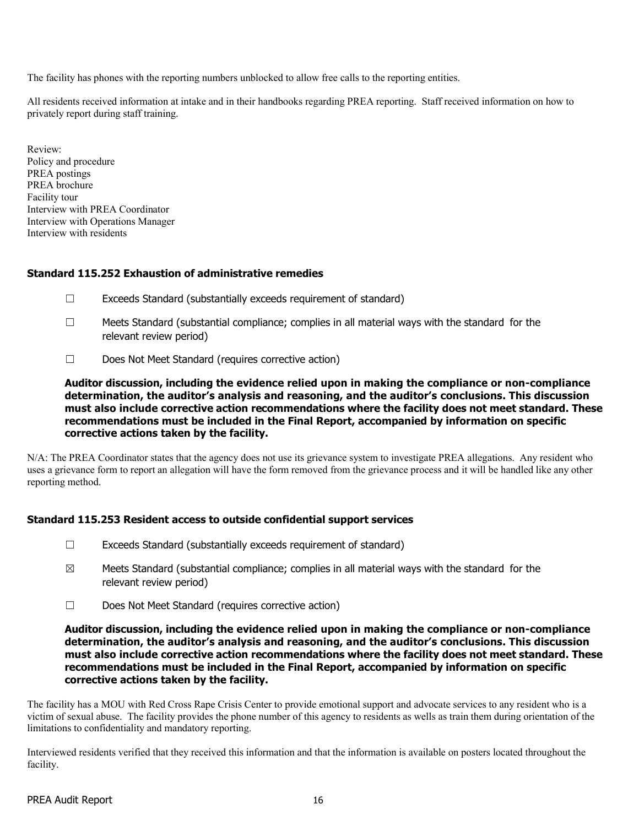The facility has phones with the reporting numbers unblocked to allow free calls to the reporting entities.

All residents received information at intake and in their handbooks regarding PREA reporting. Staff received information on how to privately report during staff training.

Review: Policy and procedure PREA postings PREA brochure Facility tour Interview with PREA Coordinator Interview with Operations Manager Interview with residents

### Standard 115.252 Exhaustion of administrative remedies

- $\Box$  Exceeds Standard (substantially exceeds requirement of standard)
- $\Box$  Meets Standard (substantial compliance; complies in all material ways with the standard for the relevant review period)
- ☐ Does Not Meet Standard (requires corrective action)

Auditor discussion, including the evidence relied upon in making the compliance or non-compliance determination, the auditor's analysis and reasoning, and the auditor's conclusions. This discussion must also include corrective action recommendations where the facility does not meet standard. These recommendations must be included in the Final Report, accompanied by information on specific corrective actions taken by the facility.

N/A: The PREA Coordinator states that the agency does not use its grievance system to investigate PREA allegations. Any resident who uses a grievance form to report an allegation will have the form removed from the grievance process and it will be handled like any other reporting method.

### Standard 115.253 Resident access to outside confidential support services

- ☐ Exceeds Standard (substantially exceeds requirement of standard)
- $\boxtimes$  Meets Standard (substantial compliance; complies in all material ways with the standard for the relevant review period)
- ☐ Does Not Meet Standard (requires corrective action)

#### Auditor discussion, including the evidence relied upon in making the compliance or non-compliance determination, the auditor's analysis and reasoning, and the auditor's conclusions. This discussion must also include corrective action recommendations where the facility does not meet standard. These recommendations must be included in the Final Report, accompanied by information on specific corrective actions taken by the facility.

The facility has a MOU with Red Cross Rape Crisis Center to provide emotional support and advocate services to any resident who is a victim of sexual abuse. The facility provides the phone number of this agency to residents as wells as train them during orientation of the limitations to confidentiality and mandatory reporting.

Interviewed residents verified that they received this information and that the information is available on posters located throughout the facility.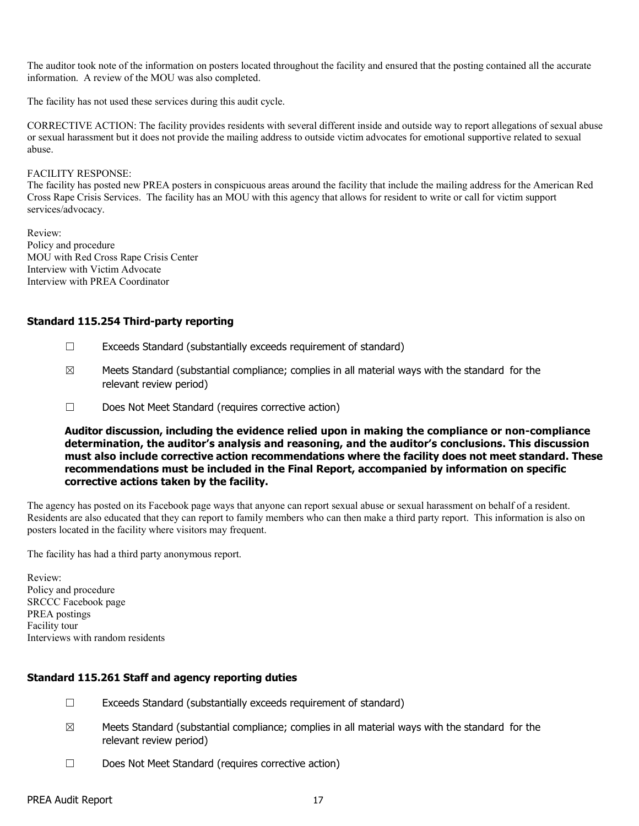The auditor took note of the information on posters located throughout the facility and ensured that the posting contained all the accurate information. A review of the MOU was also completed.

The facility has not used these services during this audit cycle.

CORRECTIVE ACTION: The facility provides residents with several different inside and outside way to report allegations of sexual abuse or sexual harassment but it does not provide the mailing address to outside victim advocates for emotional supportive related to sexual abuse.

#### FACILITY RESPONSE:

The facility has posted new PREA posters in conspicuous areas around the facility that include the mailing address for the American Red Cross Rape Crisis Services. The facility has an MOU with this agency that allows for resident to write or call for victim support services/advocacy.

Review: Policy and procedure MOU with Red Cross Rape Crisis Center Interview with Victim Advocate Interview with PREA Coordinator

### Standard 115.254 Third-party reporting

- ☐ Exceeds Standard (substantially exceeds requirement of standard)
- $\boxtimes$  Meets Standard (substantial compliance; complies in all material ways with the standard for the relevant review period)
- ☐ Does Not Meet Standard (requires corrective action)

Auditor discussion, including the evidence relied upon in making the compliance or non-compliance determination, the auditor's analysis and reasoning, and the auditor's conclusions. This discussion must also include corrective action recommendations where the facility does not meet standard. These recommendations must be included in the Final Report, accompanied by information on specific corrective actions taken by the facility.

The agency has posted on its Facebook page ways that anyone can report sexual abuse or sexual harassment on behalf of a resident. Residents are also educated that they can report to family members who can then make a third party report. This information is also on posters located in the facility where visitors may frequent.

The facility has had a third party anonymous report.

Review: Policy and procedure SRCCC Facebook page PREA postings Facility tour Interviews with random residents

### Standard 115.261 Staff and agency reporting duties

- ☐ Exceeds Standard (substantially exceeds requirement of standard)
- $\boxtimes$  Meets Standard (substantial compliance; complies in all material ways with the standard for the relevant review period)
- ☐ Does Not Meet Standard (requires corrective action)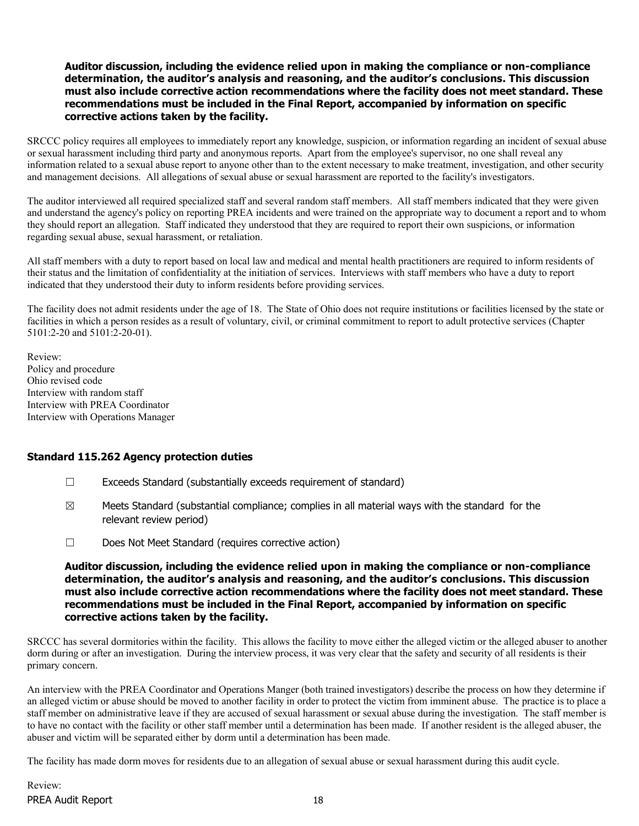#### Auditor discussion, including the evidence relied upon in making the compliance or non-compliance determination, the auditor's analysis and reasoning, and the auditor's conclusions. This discussion must also include corrective action recommendations where the facility does not meet standard. These recommendations must be included in the Final Report, accompanied by information on specific corrective actions taken by the facility.

SRCCC policy requires all employees to immediately report any knowledge, suspicion, or information regarding an incident of sexual abuse or sexual harassment including third party and anonymous reports. Apart from the employee's supervisor, no one shall reveal any information related to a sexual abuse report to anyone other than to the extent necessary to make treatment, investigation, and other security and management decisions. All allegations of sexual abuse or sexual harassment are reported to the facility's investigators.

The auditor interviewed all required specialized staff and several random staff members. All staff members indicated that they were given and understand the agency's policy on reporting PREA incidents and were trained on the appropriate way to document a report and to whom they should report an allegation. Staff indicated they understood that they are required to report their own suspicions, or information regarding sexual abuse, sexual harassment, or retaliation.

All staff members with a duty to report based on local law and medical and mental health practitioners are required to inform residents of their status and the limitation of confidentiality at the initiation of services. Interviews with staff members who have a duty to report indicated that they understood their duty to inform residents before providing services.

The facility does not admit residents under the age of 18. The State of Ohio does not require institutions or facilities licensed by the state or facilities in which a person resides as a result of voluntary, civil, or criminal commitment to report to adult protective services (Chapter 5101:2-20 and 5101:2-20-01).

Review: Policy and procedure Ohio revised code Interview with random staff Interview with PREA Coordinator Interview with Operations Manager

### Standard 115.262 Agency protection duties

- ☐ Exceeds Standard (substantially exceeds requirement of standard)
- $\boxtimes$  Meets Standard (substantial compliance; complies in all material ways with the standard for the relevant review period)
- ☐ Does Not Meet Standard (requires corrective action)

#### Auditor discussion, including the evidence relied upon in making the compliance or non-compliance determination, the auditor's analysis and reasoning, and the auditor's conclusions. This discussion must also include corrective action recommendations where the facility does not meet standard. These recommendations must be included in the Final Report, accompanied by information on specific corrective actions taken by the facility.

SRCCC has several dormitories within the facility. This allows the facility to move either the alleged victim or the alleged abuser to another dorm during or after an investigation. During the interview process, it was very clear that the safety and security of all residents is their primary concern.

An interview with the PREA Coordinator and Operations Manger (both trained investigators) describe the process on how they determine if an alleged victim or abuse should be moved to another facility in order to protect the victim from imminent abuse. The practice is to place a staff member on administrative leave if they are accused of sexual harassment or sexual abuse during the investigation. The staff member is to have no contact with the facility or other staff member until a determination has been made. If another resident is the alleged abuser, the abuser and victim will be separated either by dorm until a determination has been made.

The facility has made dorm moves for residents due to an allegation of sexual abuse or sexual harassment during this audit cycle.

PREA Audit Report 18 Review: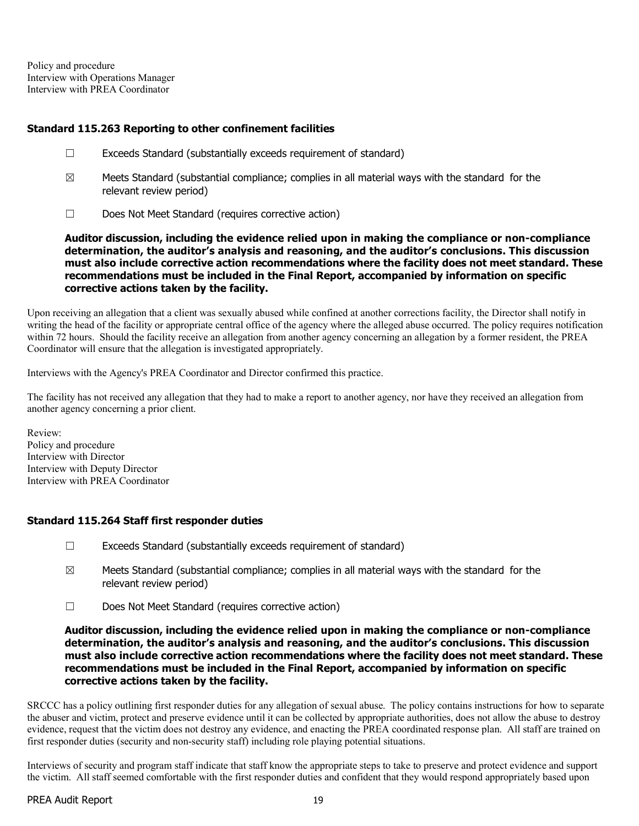Policy and procedure Interview with Operations Manager Interview with PREA Coordinator

### Standard 115.263 Reporting to other confinement facilities

- ☐ Exceeds Standard (substantially exceeds requirement of standard)
- $\boxtimes$  Meets Standard (substantial compliance; complies in all material ways with the standard for the relevant review period)
- ☐ Does Not Meet Standard (requires corrective action)

Auditor discussion, including the evidence relied upon in making the compliance or non-compliance determination, the auditor's analysis and reasoning, and the auditor's conclusions. This discussion must also include corrective action recommendations where the facility does not meet standard. These recommendations must be included in the Final Report, accompanied by information on specific corrective actions taken by the facility.

Upon receiving an allegation that a client was sexually abused while confined at another corrections facility, the Director shall notify in writing the head of the facility or appropriate central office of the agency where the alleged abuse occurred. The policy requires notification within 72 hours. Should the facility receive an allegation from another agency concerning an allegation by a former resident, the PREA Coordinator will ensure that the allegation is investigated appropriately.

Interviews with the Agency's PREA Coordinator and Director confirmed this practice.

The facility has not received any allegation that they had to make a report to another agency, nor have they received an allegation from another agency concerning a prior client.

Review: Policy and procedure Interview with Director Interview with Deputy Director Interview with PREA Coordinator

### Standard 115.264 Staff first responder duties

- $\Box$  Exceeds Standard (substantially exceeds requirement of standard)
- $\boxtimes$  Meets Standard (substantial compliance; complies in all material ways with the standard for the relevant review period)
- ☐ Does Not Meet Standard (requires corrective action)

#### Auditor discussion, including the evidence relied upon in making the compliance or non-compliance determination, the auditor's analysis and reasoning, and the auditor's conclusions. This discussion must also include corrective action recommendations where the facility does not meet standard. These recommendations must be included in the Final Report, accompanied by information on specific corrective actions taken by the facility.

SRCCC has a policy outlining first responder duties for any allegation of sexual abuse. The policy contains instructions for how to separate the abuser and victim, protect and preserve evidence until it can be collected by appropriate authorities, does not allow the abuse to destroy evidence, request that the victim does not destroy any evidence, and enacting the PREA coordinated response plan. All staff are trained on first responder duties (security and non-security staff) including role playing potential situations.

Interviews of security and program staff indicate that staff know the appropriate steps to take to preserve and protect evidence and support the victim. All staff seemed comfortable with the first responder duties and confident that they would respond appropriately based upon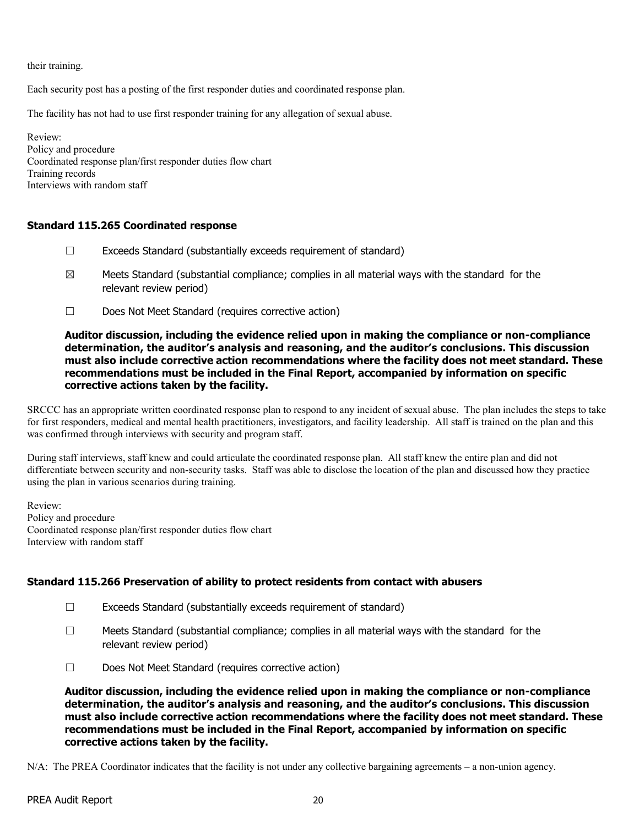their training.

Each security post has a posting of the first responder duties and coordinated response plan.

The facility has not had to use first responder training for any allegation of sexual abuse.

Review: Policy and procedure Coordinated response plan/first responder duties flow chart Training records Interviews with random staff

#### Standard 115.265 Coordinated response

- $\Box$  Exceeds Standard (substantially exceeds requirement of standard)
- $\boxtimes$  Meets Standard (substantial compliance; complies in all material ways with the standard for the relevant review period)
- ☐ Does Not Meet Standard (requires corrective action)

#### Auditor discussion, including the evidence relied upon in making the compliance or non-compliance determination, the auditor's analysis and reasoning, and the auditor's conclusions. This discussion must also include corrective action recommendations where the facility does not meet standard. These recommendations must be included in the Final Report, accompanied by information on specific corrective actions taken by the facility.

SRCCC has an appropriate written coordinated response plan to respond to any incident of sexual abuse. The plan includes the steps to take for first responders, medical and mental health practitioners, investigators, and facility leadership. All staff is trained on the plan and this was confirmed through interviews with security and program staff.

During staff interviews, staff knew and could articulate the coordinated response plan. All staff knew the entire plan and did not differentiate between security and non-security tasks. Staff was able to disclose the location of the plan and discussed how they practice using the plan in various scenarios during training.

Review: Policy and procedure Coordinated response plan/first responder duties flow chart Interview with random staff

### Standard 115.266 Preservation of ability to protect residents from contact with abusers

- ☐ Exceeds Standard (substantially exceeds requirement of standard)
- ☐ Meets Standard (substantial compliance; complies in all material ways with the standard for the relevant review period)
- ☐ Does Not Meet Standard (requires corrective action)

Auditor discussion, including the evidence relied upon in making the compliance or non-compliance determination, the auditor's analysis and reasoning, and the auditor's conclusions. This discussion must also include corrective action recommendations where the facility does not meet standard. These recommendations must be included in the Final Report, accompanied by information on specific corrective actions taken by the facility.

N/A: The PREA Coordinator indicates that the facility is not under any collective bargaining agreements – a non-union agency.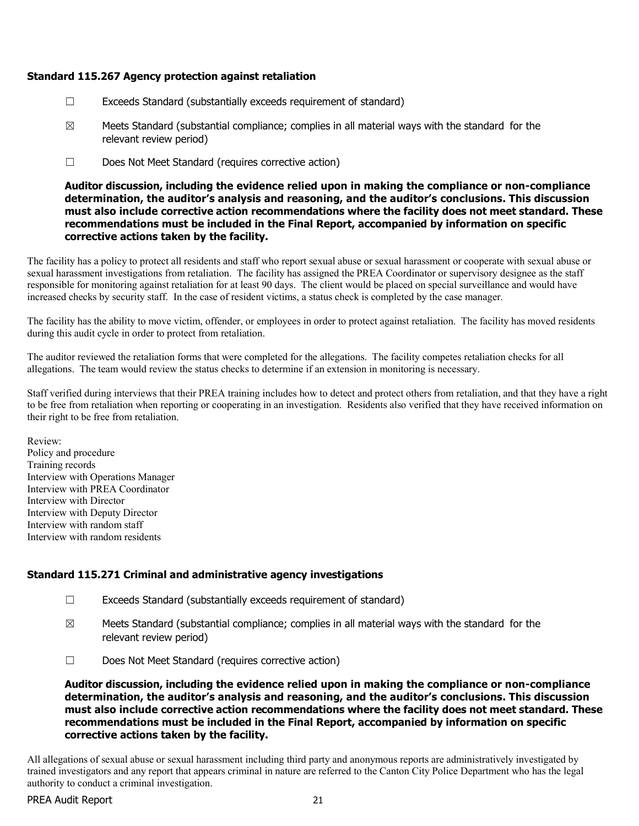### Standard 115.267 Agency protection against retaliation

- ☐ Exceeds Standard (substantially exceeds requirement of standard)
- $\boxtimes$  Meets Standard (substantial compliance; complies in all material ways with the standard for the relevant review period)
- ☐ Does Not Meet Standard (requires corrective action)

Auditor discussion, including the evidence relied upon in making the compliance or non-compliance determination, the auditor's analysis and reasoning, and the auditor's conclusions. This discussion must also include corrective action recommendations where the facility does not meet standard. These recommendations must be included in the Final Report, accompanied by information on specific corrective actions taken by the facility.

The facility has a policy to protect all residents and staff who report sexual abuse or sexual harassment or cooperate with sexual abuse or sexual harassment investigations from retaliation. The facility has assigned the PREA Coordinator or supervisory designee as the staff responsible for monitoring against retaliation for at least 90 days. The client would be placed on special surveillance and would have increased checks by security staff. In the case of resident victims, a status check is completed by the case manager.

The facility has the ability to move victim, offender, or employees in order to protect against retaliation. The facility has moved residents during this audit cycle in order to protect from retaliation.

The auditor reviewed the retaliation forms that were completed for the allegations. The facility competes retaliation checks for all allegations. The team would review the status checks to determine if an extension in monitoring is necessary.

Staff verified during interviews that their PREA training includes how to detect and protect others from retaliation, and that they have a right to be free from retaliation when reporting or cooperating in an investigation. Residents also verified that they have received information on their right to be free from retaliation.

Review: Policy and procedure Training records Interview with Operations Manager Interview with PREA Coordinator Interview with Director Interview with Deputy Director Interview with random staff Interview with random residents

### Standard 115.271 Criminal and administrative agency investigations

- ☐ Exceeds Standard (substantially exceeds requirement of standard)
- $\boxtimes$  Meets Standard (substantial compliance; complies in all material ways with the standard for the relevant review period)
- ☐ Does Not Meet Standard (requires corrective action)

Auditor discussion, including the evidence relied upon in making the compliance or non-compliance determination, the auditor's analysis and reasoning, and the auditor's conclusions. This discussion must also include corrective action recommendations where the facility does not meet standard. These recommendations must be included in the Final Report, accompanied by information on specific corrective actions taken by the facility.

All allegations of sexual abuse or sexual harassment including third party and anonymous reports are administratively investigated by trained investigators and any report that appears criminal in nature are referred to the Canton City Police Department who has the legal authority to conduct a criminal investigation.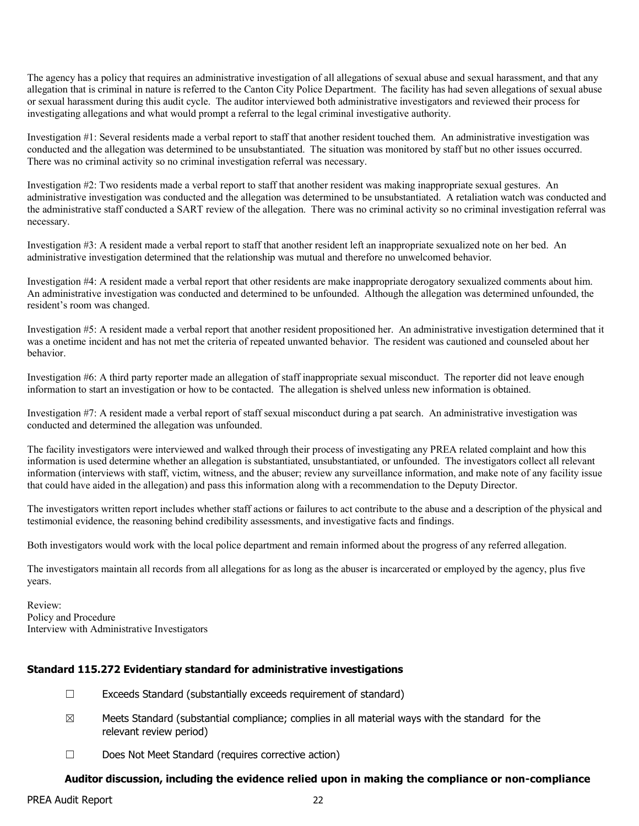The agency has a policy that requires an administrative investigation of all allegations of sexual abuse and sexual harassment, and that any allegation that is criminal in nature is referred to the Canton City Police Department. The facility has had seven allegations of sexual abuse or sexual harassment during this audit cycle. The auditor interviewed both administrative investigators and reviewed their process for investigating allegations and what would prompt a referral to the legal criminal investigative authority.

Investigation #1: Several residents made a verbal report to staff that another resident touched them. An administrative investigation was conducted and the allegation was determined to be unsubstantiated. The situation was monitored by staff but no other issues occurred. There was no criminal activity so no criminal investigation referral was necessary.

Investigation #2: Two residents made a verbal report to staff that another resident was making inappropriate sexual gestures. An administrative investigation was conducted and the allegation was determined to be unsubstantiated. A retaliation watch was conducted and the administrative staff conducted a SART review of the allegation. There was no criminal activity so no criminal investigation referral was necessary.

Investigation #3: A resident made a verbal report to staff that another resident left an inappropriate sexualized note on her bed. An administrative investigation determined that the relationship was mutual and therefore no unwelcomed behavior.

Investigation #4: A resident made a verbal report that other residents are make inappropriate derogatory sexualized comments about him. An administrative investigation was conducted and determined to be unfounded. Although the allegation was determined unfounded, the resident's room was changed.

Investigation #5: A resident made a verbal report that another resident propositioned her. An administrative investigation determined that it was a onetime incident and has not met the criteria of repeated unwanted behavior. The resident was cautioned and counseled about her behavior.

Investigation #6: A third party reporter made an allegation of staff inappropriate sexual misconduct. The reporter did not leave enough information to start an investigation or how to be contacted. The allegation is shelved unless new information is obtained.

Investigation #7: A resident made a verbal report of staff sexual misconduct during a pat search. An administrative investigation was conducted and determined the allegation was unfounded.

The facility investigators were interviewed and walked through their process of investigating any PREA related complaint and how this information is used determine whether an allegation is substantiated, unsubstantiated, or unfounded. The investigators collect all relevant information (interviews with staff, victim, witness, and the abuser; review any surveillance information, and make note of any facility issue that could have aided in the allegation) and pass this information along with a recommendation to the Deputy Director.

The investigators written report includes whether staff actions or failures to act contribute to the abuse and a description of the physical and testimonial evidence, the reasoning behind credibility assessments, and investigative facts and findings.

Both investigators would work with the local police department and remain informed about the progress of any referred allegation.

The investigators maintain all records from all allegations for as long as the abuser is incarcerated or employed by the agency, plus five years.

Review: Policy and Procedure Interview with Administrative Investigators

### Standard 115.272 Evidentiary standard for administrative investigations

- $\Box$  Exceeds Standard (substantially exceeds requirement of standard)
- $\boxtimes$  Meets Standard (substantial compliance; complies in all material ways with the standard for the relevant review period)
- ☐ Does Not Meet Standard (requires corrective action)

### Auditor discussion, including the evidence relied upon in making the compliance or non-compliance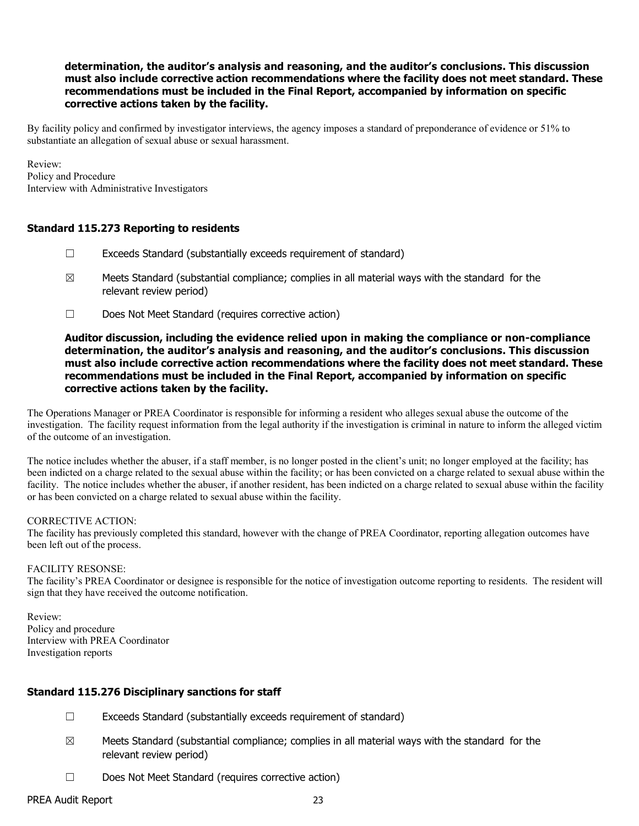### determination, the auditor's analysis and reasoning, and the auditor's conclusions. This discussion must also include corrective action recommendations where the facility does not meet standard. These recommendations must be included in the Final Report, accompanied by information on specific corrective actions taken by the facility.

By facility policy and confirmed by investigator interviews, the agency imposes a standard of preponderance of evidence or 51% to substantiate an allegation of sexual abuse or sexual harassment.

Review: Policy and Procedure Interview with Administrative Investigators

#### Standard 115.273 Reporting to residents

- ☐ Exceeds Standard (substantially exceeds requirement of standard)
- $\boxtimes$  Meets Standard (substantial compliance; complies in all material ways with the standard for the relevant review period)
- ☐ Does Not Meet Standard (requires corrective action)

#### Auditor discussion, including the evidence relied upon in making the compliance or non-compliance determination, the auditor's analysis and reasoning, and the auditor's conclusions. This discussion must also include corrective action recommendations where the facility does not meet standard. These recommendations must be included in the Final Report, accompanied by information on specific corrective actions taken by the facility.

The Operations Manager or PREA Coordinator is responsible for informing a resident who alleges sexual abuse the outcome of the investigation. The facility request information from the legal authority if the investigation is criminal in nature to inform the alleged victim of the outcome of an investigation.

The notice includes whether the abuser, if a staff member, is no longer posted in the client's unit; no longer employed at the facility; has been indicted on a charge related to the sexual abuse within the facility; or has been convicted on a charge related to sexual abuse within the facility. The notice includes whether the abuser, if another resident, has been indicted on a charge related to sexual abuse within the facility or has been convicted on a charge related to sexual abuse within the facility.

#### CORRECTIVE ACTION:

The facility has previously completed this standard, however with the change of PREA Coordinator, reporting allegation outcomes have been left out of the process.

#### FACILITY RESONSE:

The facility's PREA Coordinator or designee is responsible for the notice of investigation outcome reporting to residents. The resident will sign that they have received the outcome notification.

Review: Policy and procedure Interview with PREA Coordinator Investigation reports

### Standard 115.276 Disciplinary sanctions for staff

- ☐ Exceeds Standard (substantially exceeds requirement of standard)
- $\boxtimes$  Meets Standard (substantial compliance; complies in all material ways with the standard for the relevant review period)
- ☐ Does Not Meet Standard (requires corrective action)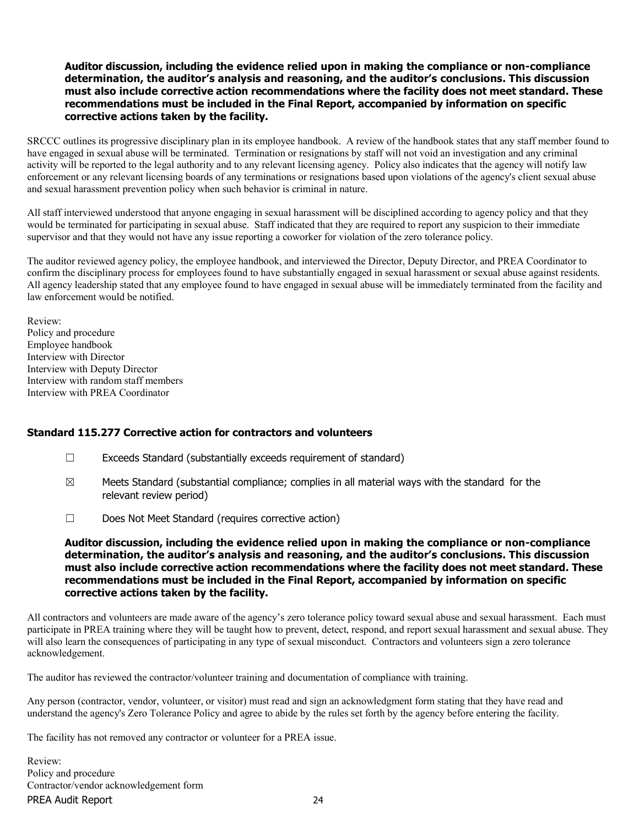#### Auditor discussion, including the evidence relied upon in making the compliance or non-compliance determination, the auditor's analysis and reasoning, and the auditor's conclusions. This discussion must also include corrective action recommendations where the facility does not meet standard. These recommendations must be included in the Final Report, accompanied by information on specific corrective actions taken by the facility.

SRCCC outlines its progressive disciplinary plan in its employee handbook. A review of the handbook states that any staff member found to have engaged in sexual abuse will be terminated. Termination or resignations by staff will not void an investigation and any criminal activity will be reported to the legal authority and to any relevant licensing agency. Policy also indicates that the agency will notify law enforcement or any relevant licensing boards of any terminations or resignations based upon violations of the agency's client sexual abuse and sexual harassment prevention policy when such behavior is criminal in nature.

All staff interviewed understood that anyone engaging in sexual harassment will be disciplined according to agency policy and that they would be terminated for participating in sexual abuse. Staff indicated that they are required to report any suspicion to their immediate supervisor and that they would not have any issue reporting a coworker for violation of the zero tolerance policy.

The auditor reviewed agency policy, the employee handbook, and interviewed the Director, Deputy Director, and PREA Coordinator to confirm the disciplinary process for employees found to have substantially engaged in sexual harassment or sexual abuse against residents. All agency leadership stated that any employee found to have engaged in sexual abuse will be immediately terminated from the facility and law enforcement would be notified.

Review: Policy and procedure Employee handbook Interview with Director Interview with Deputy Director Interview with random staff members Interview with PREA Coordinator

### Standard 115.277 Corrective action for contractors and volunteers

- ☐ Exceeds Standard (substantially exceeds requirement of standard)
- $\boxtimes$  Meets Standard (substantial compliance; complies in all material ways with the standard for the relevant review period)
- ☐ Does Not Meet Standard (requires corrective action)

#### Auditor discussion, including the evidence relied upon in making the compliance or non-compliance determination, the auditor's analysis and reasoning, and the auditor's conclusions. This discussion must also include corrective action recommendations where the facility does not meet standard. These recommendations must be included in the Final Report, accompanied by information on specific corrective actions taken by the facility.

All contractors and volunteers are made aware of the agency's zero tolerance policy toward sexual abuse and sexual harassment. Each must participate in PREA training where they will be taught how to prevent, detect, respond, and report sexual harassment and sexual abuse. They will also learn the consequences of participating in any type of sexual misconduct. Contractors and volunteers sign a zero tolerance acknowledgement.

The auditor has reviewed the contractor/volunteer training and documentation of compliance with training.

Any person (contractor, vendor, volunteer, or visitor) must read and sign an acknowledgment form stating that they have read and understand the agency's Zero Tolerance Policy and agree to abide by the rules set forth by the agency before entering the facility.

The facility has not removed any contractor or volunteer for a PREA issue.

PREA Audit Report 24 Review: Policy and procedure Contractor/vendor acknowledgement form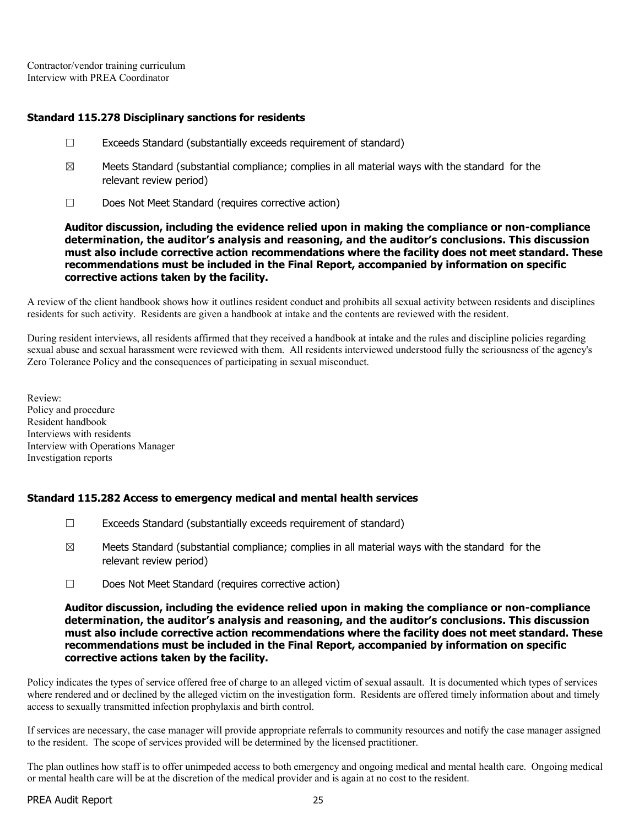Contractor/vendor training curriculum Interview with PREA Coordinator

### Standard 115.278 Disciplinary sanctions for residents

- ☐ Exceeds Standard (substantially exceeds requirement of standard)
- $\boxtimes$  Meets Standard (substantial compliance; complies in all material ways with the standard for the relevant review period)
- ☐ Does Not Meet Standard (requires corrective action)

Auditor discussion, including the evidence relied upon in making the compliance or non-compliance determination, the auditor's analysis and reasoning, and the auditor's conclusions. This discussion must also include corrective action recommendations where the facility does not meet standard. These recommendations must be included in the Final Report, accompanied by information on specific corrective actions taken by the facility.

A review of the client handbook shows how it outlines resident conduct and prohibits all sexual activity between residents and disciplines residents for such activity. Residents are given a handbook at intake and the contents are reviewed with the resident.

During resident interviews, all residents affirmed that they received a handbook at intake and the rules and discipline policies regarding sexual abuse and sexual harassment were reviewed with them. All residents interviewed understood fully the seriousness of the agency's Zero Tolerance Policy and the consequences of participating in sexual misconduct.

Review: Policy and procedure Resident handbook Interviews with residents Interview with Operations Manager Investigation reports

### Standard 115.282 Access to emergency medical and mental health services

- ☐ Exceeds Standard (substantially exceeds requirement of standard)
- $\boxtimes$  Meets Standard (substantial compliance; complies in all material ways with the standard for the relevant review period)
- ☐ Does Not Meet Standard (requires corrective action)

#### Auditor discussion, including the evidence relied upon in making the compliance or non-compliance determination, the auditor's analysis and reasoning, and the auditor's conclusions. This discussion must also include corrective action recommendations where the facility does not meet standard. These recommendations must be included in the Final Report, accompanied by information on specific corrective actions taken by the facility.

Policy indicates the types of service offered free of charge to an alleged victim of sexual assault. It is documented which types of services where rendered and or declined by the alleged victim on the investigation form. Residents are offered timely information about and timely access to sexually transmitted infection prophylaxis and birth control.

If services are necessary, the case manager will provide appropriate referrals to community resources and notify the case manager assigned to the resident. The scope of services provided will be determined by the licensed practitioner.

The plan outlines how staff is to offer unimpeded access to both emergency and ongoing medical and mental health care. Ongoing medical or mental health care will be at the discretion of the medical provider and is again at no cost to the resident.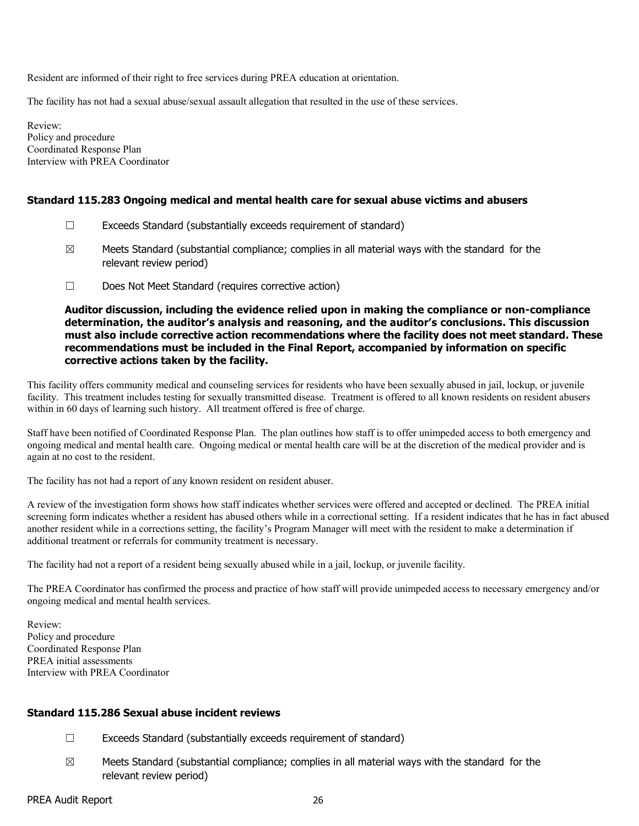Resident are informed of their right to free services during PREA education at orientation.

The facility has not had a sexual abuse/sexual assault allegation that resulted in the use of these services.

Review: Policy and procedure Coordinated Response Plan Interview with PREA Coordinator

### Standard 115.283 Ongoing medical and mental health care for sexual abuse victims and abusers

- ☐ Exceeds Standard (substantially exceeds requirement of standard)
- $\boxtimes$  Meets Standard (substantial compliance; complies in all material ways with the standard for the relevant review period)
- ☐ Does Not Meet Standard (requires corrective action)

Auditor discussion, including the evidence relied upon in making the compliance or non-compliance determination, the auditor's analysis and reasoning, and the auditor's conclusions. This discussion must also include corrective action recommendations where the facility does not meet standard. These recommendations must be included in the Final Report, accompanied by information on specific corrective actions taken by the facility.

This facility offers community medical and counseling services for residents who have been sexually abused in jail, lockup, or juvenile facility. This treatment includes testing for sexually transmitted disease. Treatment is offered to all known residents on resident abusers within in 60 days of learning such history. All treatment offered is free of charge.

Staff have been notified of Coordinated Response Plan. The plan outlines how staff is to offer unimpeded access to both emergency and ongoing medical and mental health care. Ongoing medical or mental health care will be at the discretion of the medical provider and is again at no cost to the resident.

The facility has not had a report of any known resident on resident abuser.

A review of the investigation form shows how staff indicates whether services were offered and accepted or declined. The PREA initial screening form indicates whether a resident has abused others while in a correctional setting. If a resident indicates that he has in fact abused another resident while in a corrections setting, the facility's Program Manager will meet with the resident to make a determination if additional treatment or referrals for community treatment is necessary.

The facility had not a report of a resident being sexually abused while in a jail, lockup, or juvenile facility.

The PREA Coordinator has confirmed the process and practice of how staff will provide unimpeded access to necessary emergency and/or ongoing medical and mental health services.

Review: Policy and procedure Coordinated Response Plan PREA initial assessments Interview with PREA Coordinator

#### Standard 115.286 Sexual abuse incident reviews

- $\Box$  Exceeds Standard (substantially exceeds requirement of standard)
- $\boxtimes$  Meets Standard (substantial compliance; complies in all material ways with the standard for the relevant review period)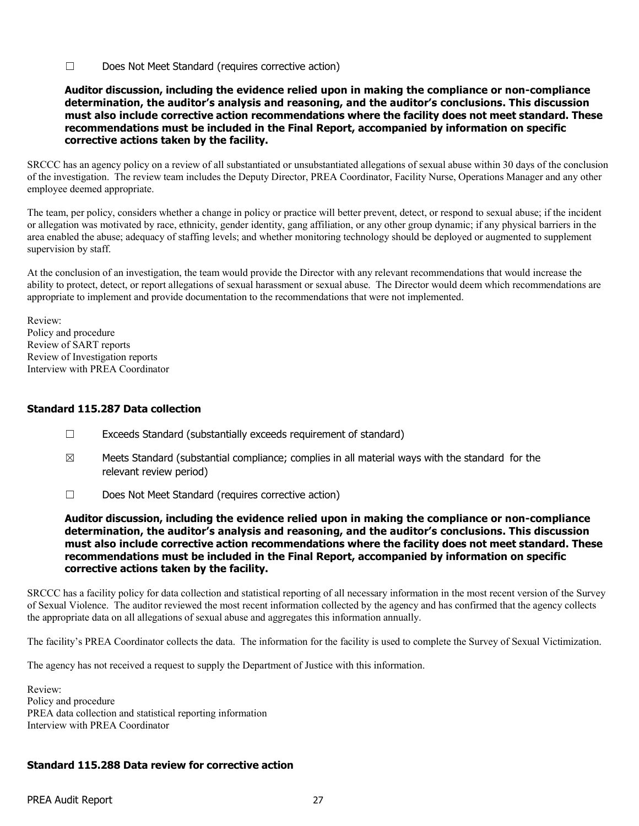☐ Does Not Meet Standard (requires corrective action)

#### Auditor discussion, including the evidence relied upon in making the compliance or non-compliance determination, the auditor's analysis and reasoning, and the auditor's conclusions. This discussion must also include corrective action recommendations where the facility does not meet standard. These recommendations must be included in the Final Report, accompanied by information on specific corrective actions taken by the facility.

SRCCC has an agency policy on a review of all substantiated or unsubstantiated allegations of sexual abuse within 30 days of the conclusion of the investigation. The review team includes the Deputy Director, PREA Coordinator, Facility Nurse, Operations Manager and any other employee deemed appropriate.

The team, per policy, considers whether a change in policy or practice will better prevent, detect, or respond to sexual abuse; if the incident or allegation was motivated by race, ethnicity, gender identity, gang affiliation, or any other group dynamic; if any physical barriers in the area enabled the abuse; adequacy of staffing levels; and whether monitoring technology should be deployed or augmented to supplement supervision by staff.

At the conclusion of an investigation, the team would provide the Director with any relevant recommendations that would increase the ability to protect, detect, or report allegations of sexual harassment or sexual abuse. The Director would deem which recommendations are appropriate to implement and provide documentation to the recommendations that were not implemented.

Review: Policy and procedure Review of SART reports Review of Investigation reports Interview with PREA Coordinator

### Standard 115.287 Data collection

- ☐ Exceeds Standard (substantially exceeds requirement of standard)
- $\boxtimes$  Meets Standard (substantial compliance; complies in all material ways with the standard for the relevant review period)
- ☐ Does Not Meet Standard (requires corrective action)

Auditor discussion, including the evidence relied upon in making the compliance or non-compliance determination, the auditor's analysis and reasoning, and the auditor's conclusions. This discussion must also include corrective action recommendations where the facility does not meet standard. These recommendations must be included in the Final Report, accompanied by information on specific corrective actions taken by the facility.

SRCCC has a facility policy for data collection and statistical reporting of all necessary information in the most recent version of the Survey of Sexual Violence. The auditor reviewed the most recent information collected by the agency and has confirmed that the agency collects the appropriate data on all allegations of sexual abuse and aggregates this information annually.

The facility's PREA Coordinator collects the data. The information for the facility is used to complete the Survey of Sexual Victimization.

The agency has not received a request to supply the Department of Justice with this information.

Review: Policy and procedure PREA data collection and statistical reporting information Interview with PREA Coordinator

# Standard 115.288 Data review for corrective action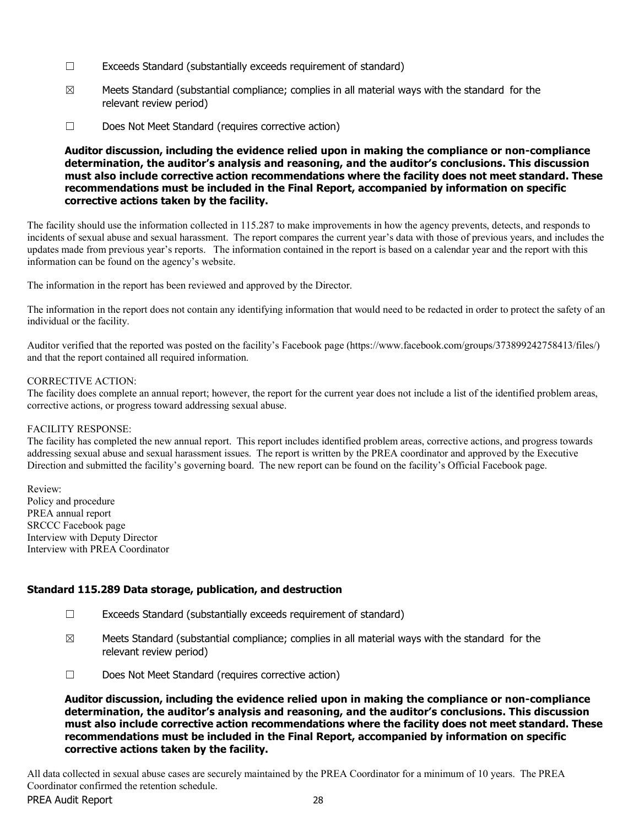- ☐ Exceeds Standard (substantially exceeds requirement of standard)
- $\boxtimes$  Meets Standard (substantial compliance; complies in all material ways with the standard for the relevant review period)
- ☐ Does Not Meet Standard (requires corrective action)

### Auditor discussion, including the evidence relied upon in making the compliance or non-compliance determination, the auditor's analysis and reasoning, and the auditor's conclusions. This discussion must also include corrective action recommendations where the facility does not meet standard. These recommendations must be included in the Final Report, accompanied by information on specific corrective actions taken by the facility.

The facility should use the information collected in 115.287 to make improvements in how the agency prevents, detects, and responds to incidents of sexual abuse and sexual harassment. The report compares the current year's data with those of previous years, and includes the updates made from previous year's reports. The information contained in the report is based on a calendar year and the report with this information can be found on the agency's website.

The information in the report has been reviewed and approved by the Director.

The information in the report does not contain any identifying information that would need to be redacted in order to protect the safety of an individual or the facility.

Auditor verified that the reported was posted on the facility's Facebook page (https://www.facebook.com/groups/373899242758413/files/) and that the report contained all required information.

#### CORRECTIVE ACTION:

The facility does complete an annual report; however, the report for the current year does not include a list of the identified problem areas, corrective actions, or progress toward addressing sexual abuse.

#### FACILITY RESPONSE:

The facility has completed the new annual report. This report includes identified problem areas, corrective actions, and progress towards addressing sexual abuse and sexual harassment issues. The report is written by the PREA coordinator and approved by the Executive Direction and submitted the facility's governing board. The new report can be found on the facility's Official Facebook page.

Review: Policy and procedure PREA annual report SRCCC Facebook page Interview with Deputy Director Interview with PREA Coordinator

### Standard 115.289 Data storage, publication, and destruction

- $\Box$  Exceeds Standard (substantially exceeds requirement of standard)
- $\boxtimes$  Meets Standard (substantial compliance; complies in all material ways with the standard for the relevant review period)
- ☐ Does Not Meet Standard (requires corrective action)

Auditor discussion, including the evidence relied upon in making the compliance or non-compliance determination, the auditor's analysis and reasoning, and the auditor's conclusions. This discussion must also include corrective action recommendations where the facility does not meet standard. These recommendations must be included in the Final Report, accompanied by information on specific corrective actions taken by the facility.

PREA Audit Report 28 All data collected in sexual abuse cases are securely maintained by the PREA Coordinator for a minimum of 10 years. The PREA Coordinator confirmed the retention schedule.